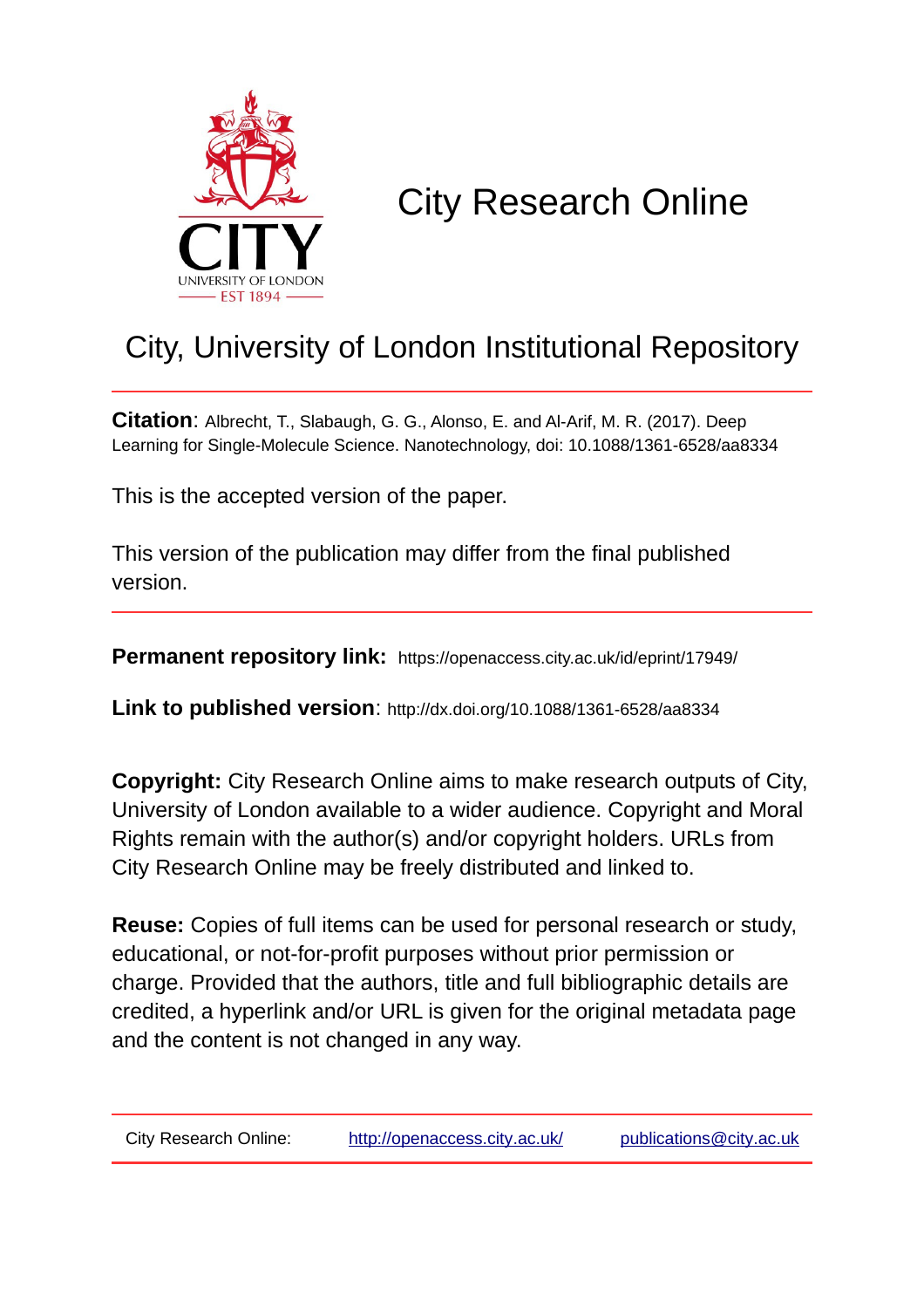

# City Research Online

## City, University of London Institutional Repository

**Citation**: Albrecht, T., Slabaugh, G. G., Alonso, E. and Al-Arif, M. R. (2017). Deep Learning for Single-Molecule Science. Nanotechnology, doi: 10.1088/1361-6528/aa8334

This is the accepted version of the paper.

This version of the publication may differ from the final published version.

**Permanent repository link:** https://openaccess.city.ac.uk/id/eprint/17949/

**Link to published version**: http://dx.doi.org/10.1088/1361-6528/aa8334

**Copyright:** City Research Online aims to make research outputs of City, University of London available to a wider audience. Copyright and Moral Rights remain with the author(s) and/or copyright holders. URLs from City Research Online may be freely distributed and linked to.

**Reuse:** Copies of full items can be used for personal research or study, educational, or not-for-profit purposes without prior permission or charge. Provided that the authors, title and full bibliographic details are credited, a hyperlink and/or URL is given for the original metadata page and the content is not changed in any way.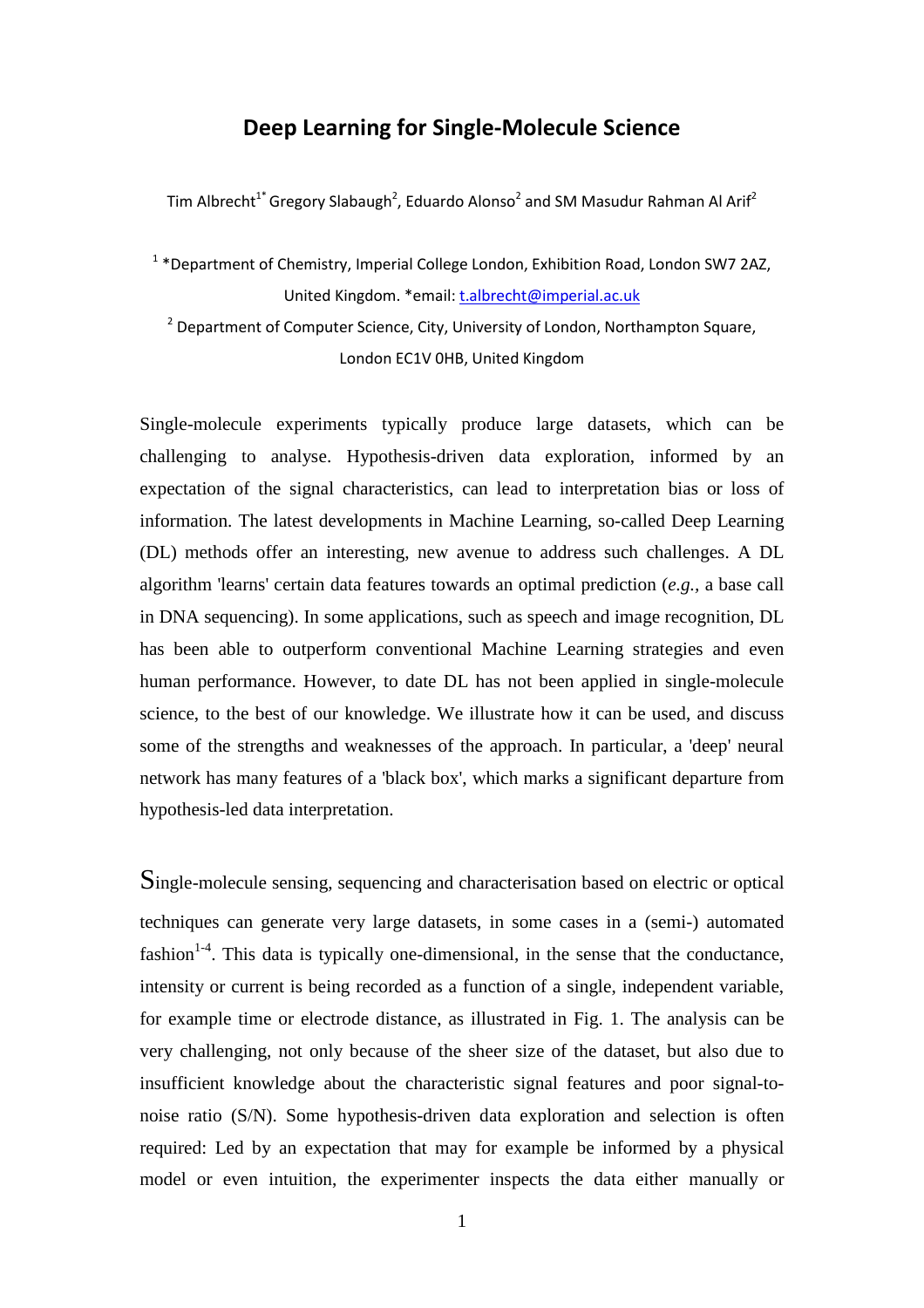#### **Deep Learning for Single-Molecule Science**

Tim Albrecht $^{1^*}$ Gregory Slabaugh<sup>2</sup>, Eduardo Alonso<sup>2</sup> and SM Masudur Rahman Al Arif<sup>2</sup>

 $1 *$ Department of Chemistry, Imperial College London, Exhibition Road, London SW7 2AZ, United Kingdom. \*email: t.albrecht@imperial.ac.uk

<sup>2</sup> Department of Computer Science, City, University of London, Northampton Square, London EC1V 0HB, United Kingdom

Single-molecule experiments typically produce large datasets, which can be challenging to analyse. Hypothesis-driven data exploration, informed by an expectation of the signal characteristics, can lead to interpretation bias or loss of information. The latest developments in Machine Learning, so-called Deep Learning (DL) methods offer an interesting, new avenue to address such challenges. A DL algorithm 'learns' certain data features towards an optimal prediction (*e.g.,* a base call in DNA sequencing). In some applications, such as speech and image recognition, DL has been able to outperform conventional Machine Learning strategies and even human performance. However, to date DL has not been applied in single-molecule science, to the best of our knowledge. We illustrate how it can be used, and discuss some of the strengths and weaknesses of the approach. In particular, a 'deep' neural network has many features of a 'black box', which marks a significant departure from hypothesis-led data interpretation.

Single-molecule sensing, sequencing and characterisation based on electric or optical techniques can generate very large datasets, in some cases in a (semi-) automated fashion $1-4$ . This data is typically one-dimensional, in the sense that the conductance, intensity or current is being recorded as a function of a single, independent variable, for example time or electrode distance, as illustrated in Fig. 1. The analysis can be very challenging, not only because of the sheer size of the dataset, but also due to insufficient knowledge about the characteristic signal features and poor signal-tonoise ratio (S/N). Some hypothesis-driven data exploration and selection is often required: Led by an expectation that may for example be informed by a physical model or even intuition, the experimenter inspects the data either manually or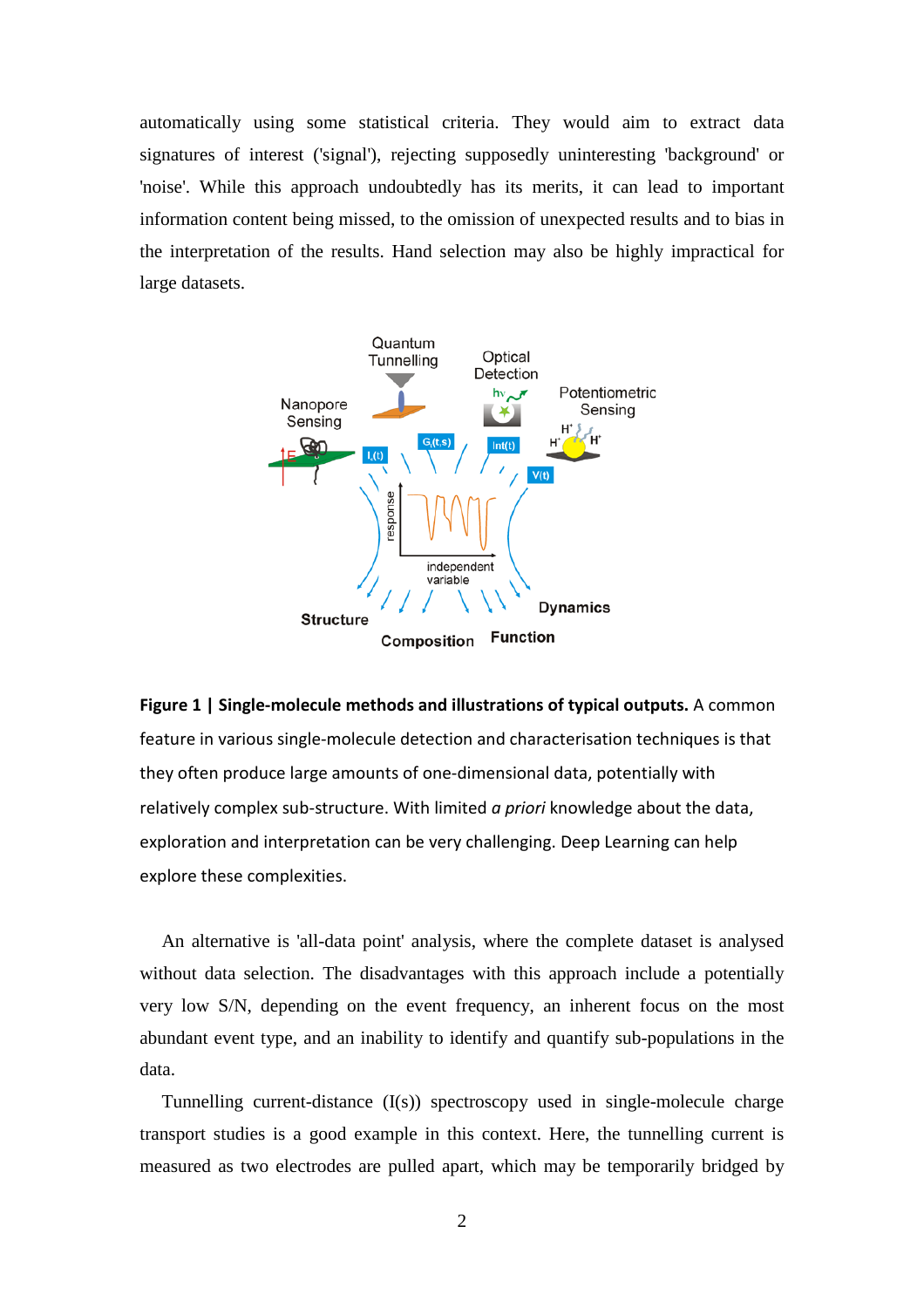automatically using some statistical criteria. They would aim to extract data signatures of interest ('signal'), rejecting supposedly uninteresting 'background' or 'noise'. While this approach undoubtedly has its merits, it can lead to important information content being missed, to the omission of unexpected results and to bias in the interpretation of the results. Hand selection may also be highly impractical for large datasets.



**Figure 1 | Single-molecule methods and illustrations of typical outputs.** A common feature in various single-molecule detection and characterisation techniques is that they often produce large amounts of one-dimensional data, potentially with relatively complex sub-structure. With limited *a priori* knowledge about the data, exploration and interpretation can be very challenging. Deep Learning can help explore these complexities.

An alternative is 'all-data point' analysis, where the complete dataset is analysed without data selection. The disadvantages with this approach include a potentially very low S/N, depending on the event frequency, an inherent focus on the most abundant event type, and an inability to identify and quantify sub-populations in the data.

Tunnelling current-distance (I(s)) spectroscopy used in single-molecule charge transport studies is a good example in this context. Here, the tunnelling current is measured as two electrodes are pulled apart, which may be temporarily bridged by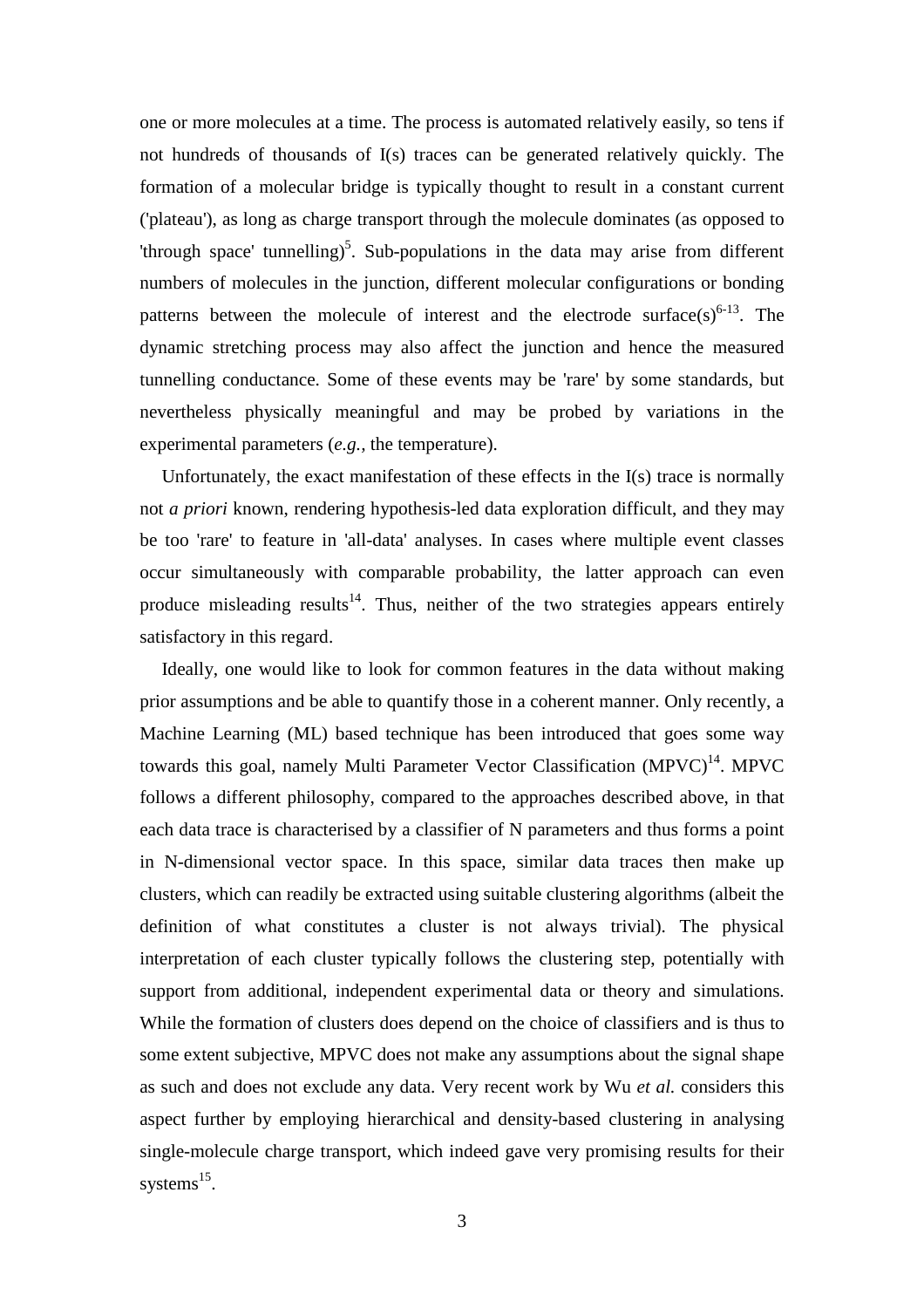one or more molecules at a time. The process is automated relatively easily, so tens if not hundreds of thousands of I(s) traces can be generated relatively quickly. The formation of a molecular bridge is typically thought to result in a constant current ('plateau'), as long as charge transport through the molecule dominates (as opposed to 'through space' tunnelling)<sup>5</sup>. Sub-populations in the data may arise from different numbers of molecules in the junction, different molecular configurations or bonding patterns between the molecule of interest and the electrode surface( $s$ )<sup>6-13</sup>. The dynamic stretching process may also affect the junction and hence the measured tunnelling conductance. Some of these events may be 'rare' by some standards, but nevertheless physically meaningful and may be probed by variations in the experimental parameters (*e.g.,* the temperature).

Unfortunately, the exact manifestation of these effects in the I(s) trace is normally not *a priori* known, rendering hypothesis-led data exploration difficult, and they may be too 'rare' to feature in 'all-data' analyses. In cases where multiple event classes occur simultaneously with comparable probability, the latter approach can even produce misleading results<sup>14</sup>. Thus, neither of the two strategies appears entirely satisfactory in this regard.

Ideally, one would like to look for common features in the data without making prior assumptions and be able to quantify those in a coherent manner. Only recently, a Machine Learning (ML) based technique has been introduced that goes some way towards this goal, namely Multi Parameter Vector Classification  $(MPVC)^{14}$ . MPVC follows a different philosophy, compared to the approaches described above, in that each data trace is characterised by a classifier of N parameters and thus forms a point in N-dimensional vector space. In this space, similar data traces then make up clusters, which can readily be extracted using suitable clustering algorithms (albeit the definition of what constitutes a cluster is not always trivial). The physical interpretation of each cluster typically follows the clustering step, potentially with support from additional, independent experimental data or theory and simulations. While the formation of clusters does depend on the choice of classifiers and is thus to some extent subjective, MPVC does not make any assumptions about the signal shape as such and does not exclude any data. Very recent work by Wu *et al.* considers this aspect further by employing hierarchical and density-based clustering in analysing single-molecule charge transport, which indeed gave very promising results for their systems $^{15}$ .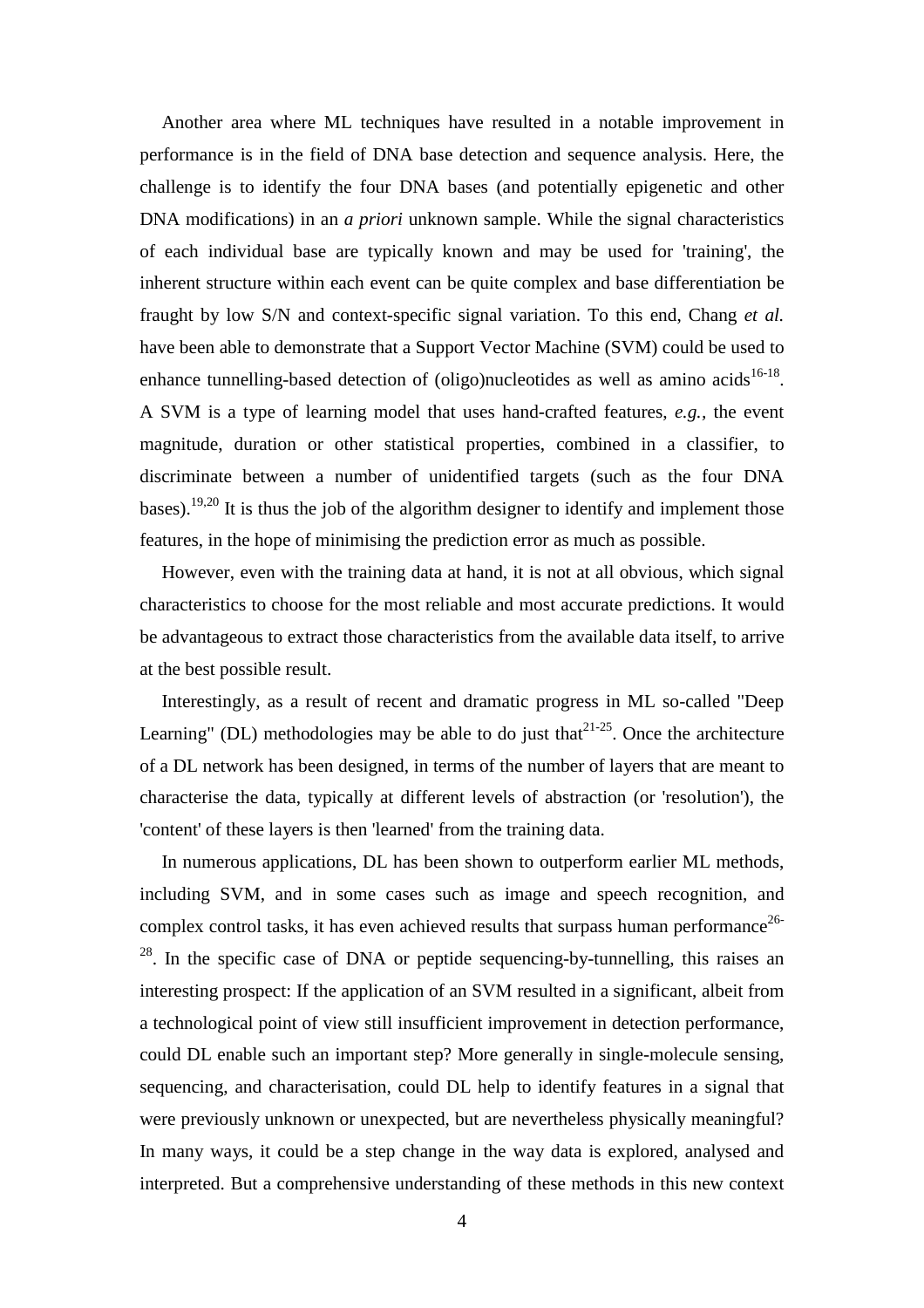Another area where ML techniques have resulted in a notable improvement in performance is in the field of DNA base detection and sequence analysis. Here, the challenge is to identify the four DNA bases (and potentially epigenetic and other DNA modifications) in an *a priori* unknown sample. While the signal characteristics of each individual base are typically known and may be used for 'training', the inherent structure within each event can be quite complex and base differentiation be fraught by low S/N and context-specific signal variation. To this end, Chang *et al.* have been able to demonstrate that a Support Vector Machine (SVM) could be used to enhance tunnelling-based detection of (oligo)nucleotides as well as amino acids $16-18$ . A SVM is a type of learning model that uses hand-crafted features, *e.g.,* the event magnitude, duration or other statistical properties, combined in a classifier, to discriminate between a number of unidentified targets (such as the four DNA bases).<sup>19,20</sup> It is thus the job of the algorithm designer to identify and implement those features, in the hope of minimising the prediction error as much as possible.

However, even with the training data at hand, it is not at all obvious, which signal characteristics to choose for the most reliable and most accurate predictions. It would be advantageous to extract those characteristics from the available data itself, to arrive at the best possible result.

Interestingly, as a result of recent and dramatic progress in ML so-called "Deep Learning" (DL) methodologies may be able to do just that  $2^{1-25}$ . Once the architecture of a DL network has been designed, in terms of the number of layers that are meant to characterise the data, typically at different levels of abstraction (or 'resolution'), the 'content' of these layers is then 'learned' from the training data.

In numerous applications, DL has been shown to outperform earlier ML methods, including SVM, and in some cases such as image and speech recognition, and complex control tasks, it has even achieved results that surpass human performance<sup>26-</sup>  $2<sup>28</sup>$ . In the specific case of DNA or peptide sequencing-by-tunnelling, this raises an interesting prospect: If the application of an SVM resulted in a significant, albeit from a technological point of view still insufficient improvement in detection performance, could DL enable such an important step? More generally in single-molecule sensing, sequencing, and characterisation, could DL help to identify features in a signal that were previously unknown or unexpected, but are nevertheless physically meaningful? In many ways, it could be a step change in the way data is explored, analysed and interpreted. But a comprehensive understanding of these methods in this new context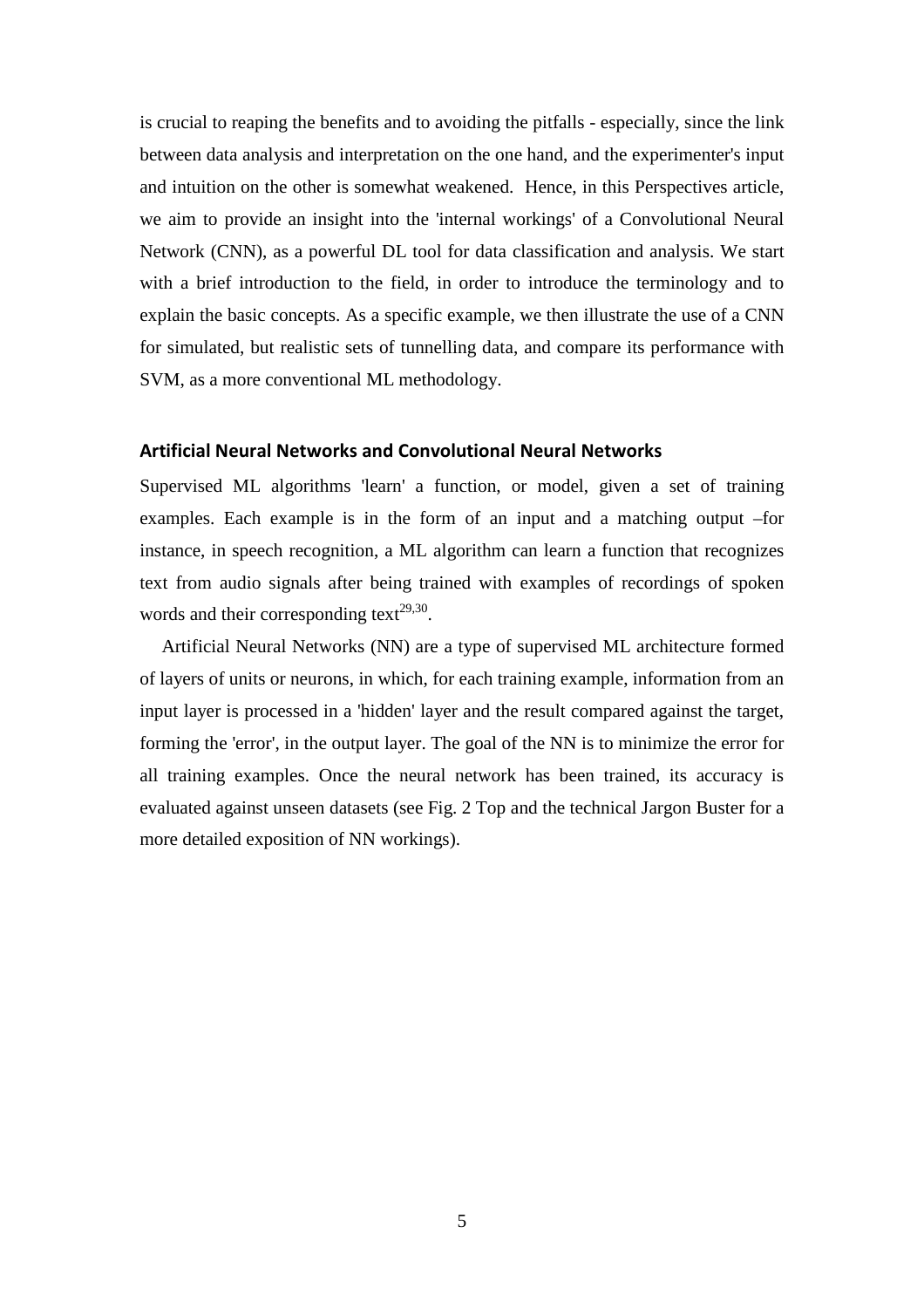is crucial to reaping the benefits and to avoiding the pitfalls - especially, since the link between data analysis and interpretation on the one hand, and the experimenter's input and intuition on the other is somewhat weakened. Hence, in this Perspectives article, we aim to provide an insight into the 'internal workings' of a Convolutional Neural Network (CNN), as a powerful DL tool for data classification and analysis. We start with a brief introduction to the field, in order to introduce the terminology and to explain the basic concepts. As a specific example, we then illustrate the use of a CNN for simulated, but realistic sets of tunnelling data, and compare its performance with SVM, as a more conventional ML methodology.

#### **Artificial Neural Networks and Convolutional Neural Networks**

Supervised ML algorithms 'learn' a function, or model, given a set of training examples. Each example is in the form of an input and a matching output –for instance, in speech recognition, a ML algorithm can learn a function that recognizes text from audio signals after being trained with examples of recordings of spoken words and their corresponding text<sup>29,30</sup>.

Artificial Neural Networks (NN) are a type of supervised ML architecture formed of layers of units or neurons, in which, for each training example, information from an input layer is processed in a 'hidden' layer and the result compared against the target, forming the 'error', in the output layer. The goal of the NN is to minimize the error for all training examples. Once the neural network has been trained, its accuracy is evaluated against unseen datasets (see Fig. 2 Top and the technical Jargon Buster for a more detailed exposition of NN workings).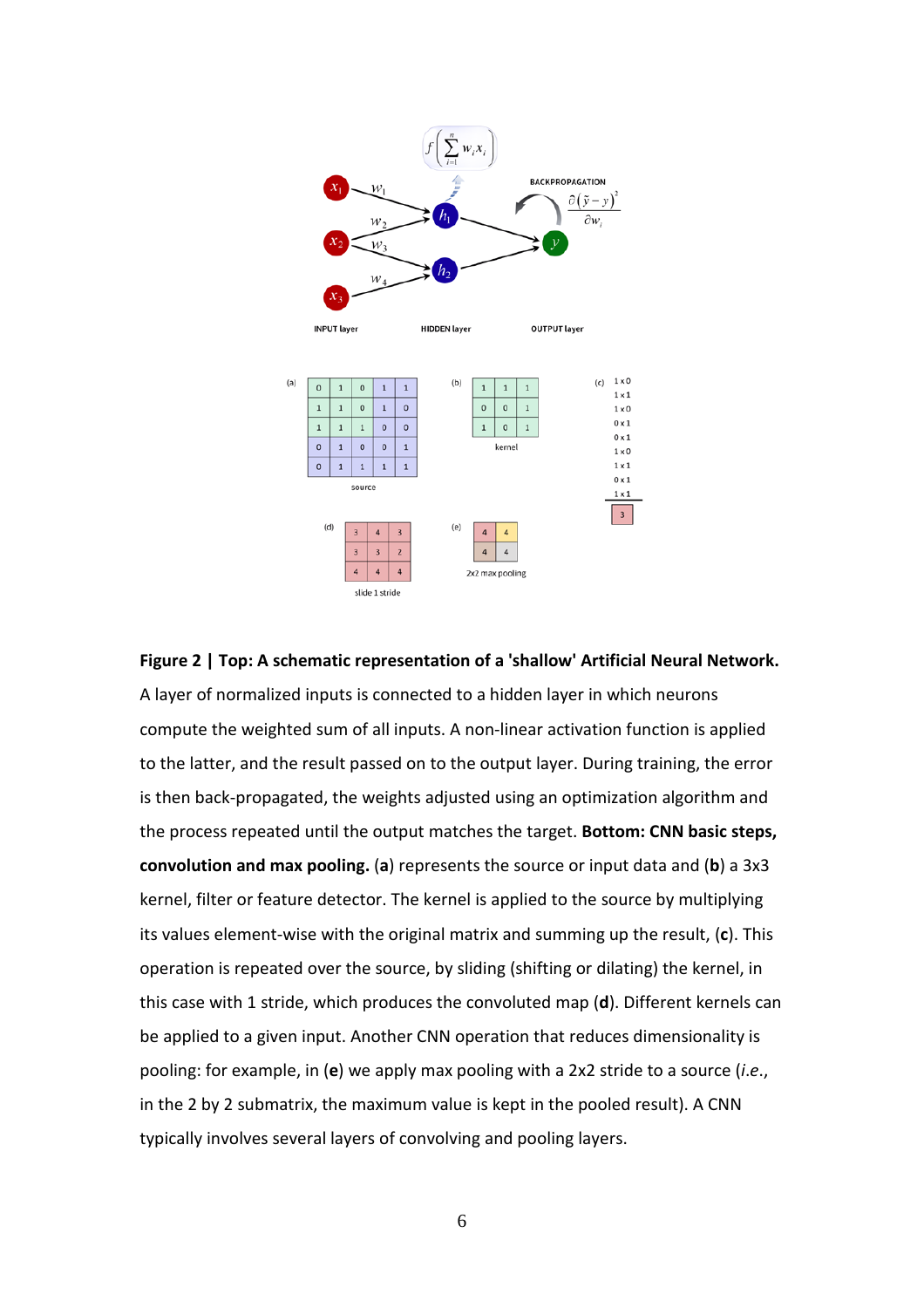

### **Figure 2 | Top: A schematic representation of a 'shallow' Artificial Neural Network.** A layer of normalized inputs is connected to a hidden layer in which neurons compute the weighted sum of all inputs. A non-linear activation function is applied to the latter, and the result passed on to the output layer. During training, the error is then back-propagated, the weights adjusted using an optimization algorithm and the process repeated until the output matches the target. **Bottom: CNN basic steps, convolution and max pooling.** (**a**) represents the source or input data and (**b**) a 3x3 kernel, filter or feature detector. The kernel is applied to the source by multiplying its values element-wise with the original matrix and summing up the result, (**c**). This operation is repeated over the source, by sliding (shifting or dilating) the kernel, in this case with 1 stride, which produces the convoluted map (**d**). Different kernels can be applied to a given input. Another CNN operation that reduces dimensionality is pooling: for example, in (**e**) we apply max pooling with a 2x2 stride to a source (*i*.*e*., in the 2 by 2 submatrix, the maximum value is kept in the pooled result). A CNN typically involves several layers of convolving and pooling layers.

6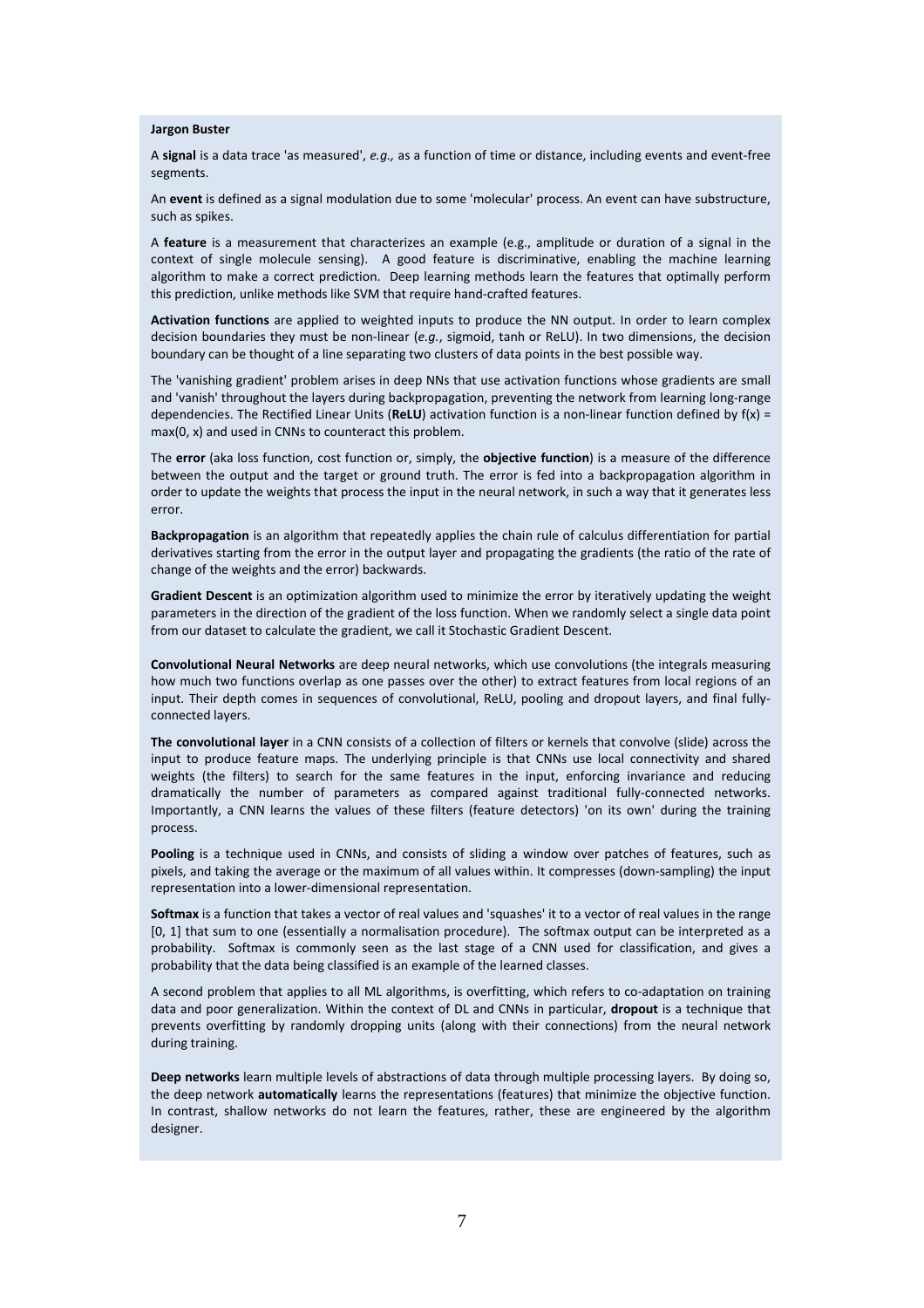#### **Jargon Buster**

A **signal** is a data trace 'as measured', *e.g.,* as a function of time or distance, including events and event-free segments.

An **event** is defined as a signal modulation due to some 'molecular' process. An event can have substructure, such as spikes.

A **feature** is a measurement that characterizes an example (e.g., amplitude or duration of a signal in the context of single molecule sensing). A good feature is discriminative, enabling the machine learning algorithm to make a correct prediction. Deep learning methods learn the features that optimally perform this prediction, unlike methods like SVM that require hand-crafted features.

**Activation functions** are applied to weighted inputs to produce the NN output. In order to learn complex decision boundaries they must be non-linear (*e.g.*, sigmoid, tanh or ReLU). In two dimensions, the decision boundary can be thought of a line separating two clusters of data points in the best possible way.

The 'vanishing gradient' problem arises in deep NNs that use activation functions whose gradients are small and 'vanish' throughout the layers during backpropagation, preventing the network from learning long-range dependencies. The Rectified Linear Units (**ReLU**) activation function is a non-linear function defined by f(x) = max(0, x) and used in CNNs to counteract this problem.

The **error** (aka loss function, cost function or, simply, the **objective function**) is a measure of the difference between the output and the target or ground truth. The error is fed into a backpropagation algorithm in order to update the weights that process the input in the neural network, in such a way that it generates less error.

**Backpropagation** is an algorithm that repeatedly applies the chain rule of calculus differentiation for partial derivatives starting from the error in the output layer and propagating the gradients (the ratio of the rate of change of the weights and the error) backwards.

**Gradient Descent** is an optimization algorithm used to minimize the error by iteratively updating the weight parameters in the direction of the gradient of the loss function. When we randomly select a single data point from our dataset to calculate the gradient, we call it Stochastic Gradient Descent.

**Convolutional Neural Networks** are deep neural networks, which use convolutions (the integrals measuring how much two functions overlap as one passes over the other) to extract features from local regions of an input. Their depth comes in sequences of convolutional, ReLU, pooling and dropout layers, and final fullyconnected layers.

**The convolutional layer** in a CNN consists of a collection of filters or kernels that convolve (slide) across the input to produce feature maps. The underlying principle is that CNNs use local connectivity and shared weights (the filters) to search for the same features in the input, enforcing invariance and reducing dramatically the number of parameters as compared against traditional fully-connected networks. Importantly, a CNN learns the values of these filters (feature detectors) 'on its own' during the training process.

**Pooling** is a technique used in CNNs, and consists of sliding a window over patches of features, such as pixels, and taking the average or the maximum of all values within. It compresses (down-sampling) the input representation into a lower-dimensional representation.

**Softmax** is a function that takes a vector of real values and 'squashes' it to a vector of real values in the range [0, 1] that sum to one (essentially a normalisation procedure). The softmax output can be interpreted as a probability. Softmax is commonly seen as the last stage of a CNN used for classification, and gives a probability that the data being classified is an example of the learned classes.

A second problem that applies to all ML algorithms, is overfitting, which refers to co-adaptation on training data and poor generalization. Within the context of DL and CNNs in particular, **dropout** is a technique that prevents overfitting by randomly dropping units (along with their connections) from the neural network during training.

**Deep networks** learn multiple levels of abstractions of data through multiple processing layers. By doing so, the deep network **automatically** learns the representations (features) that minimize the objective function. In contrast, shallow networks do not learn the features, rather, these are engineered by the algorithm designer.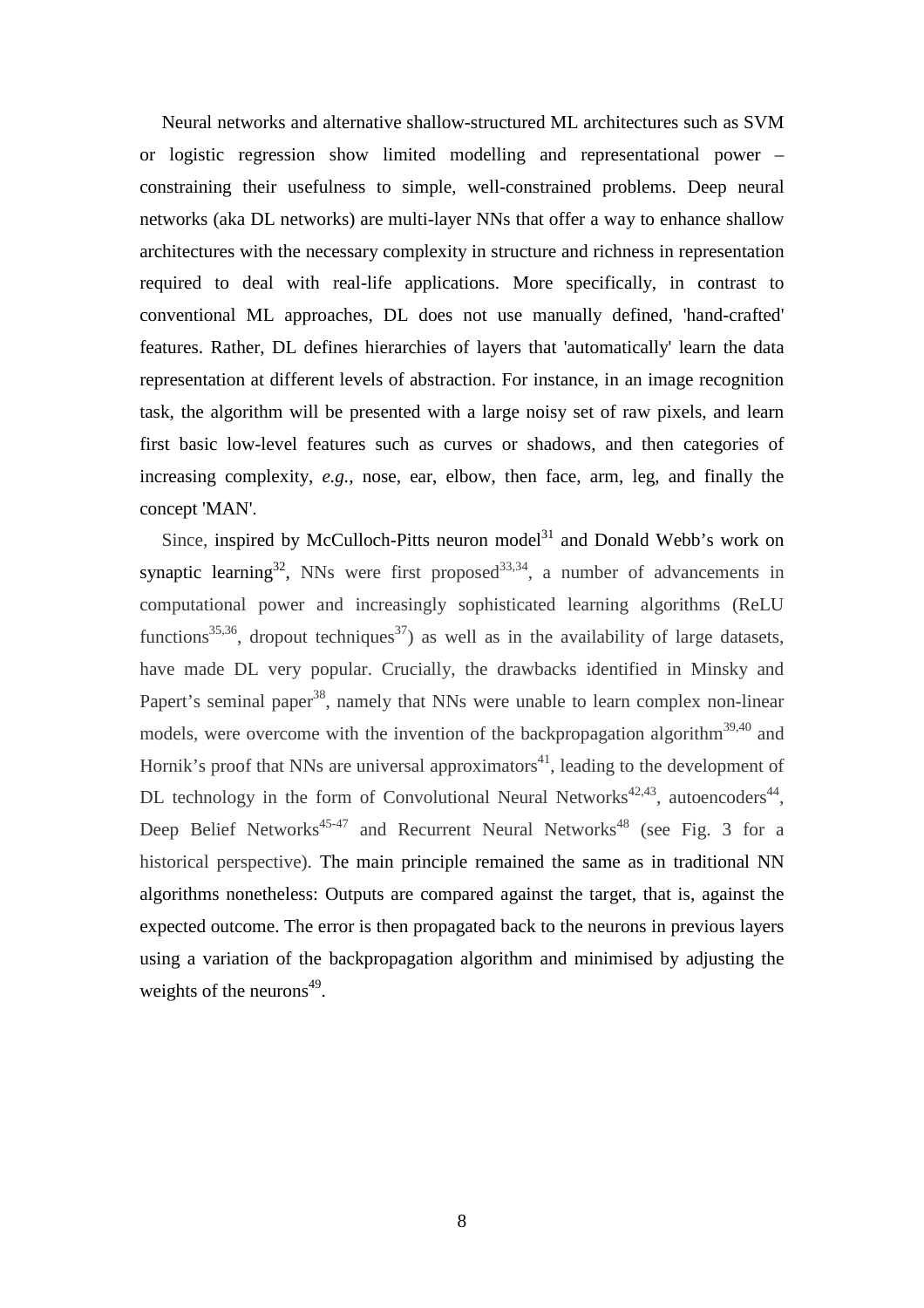Neural networks and alternative shallow-structured ML architectures such as SVM or logistic regression show limited modelling and representational power – constraining their usefulness to simple, well-constrained problems. Deep neural networks (aka DL networks) are multi-layer NNs that offer a way to enhance shallow architectures with the necessary complexity in structure and richness in representation required to deal with real-life applications. More specifically, in contrast to conventional ML approaches, DL does not use manually defined, 'hand-crafted' features. Rather, DL defines hierarchies of layers that 'automatically' learn the data representation at different levels of abstraction. For instance, in an image recognition task, the algorithm will be presented with a large noisy set of raw pixels, and learn first basic low-level features such as curves or shadows, and then categories of increasing complexity, *e.g.,* nose, ear, elbow, then face, arm, leg, and finally the concept 'MAN'.

Since, inspired by McCulloch-Pitts neuron model<sup>31</sup> and Donald Webb's work on synaptic learning<sup>32</sup>, NNs were first proposed<sup>33,34</sup>, a number of advancements in computational power and increasingly sophisticated learning algorithms (ReLU functions<sup>35,36</sup>, dropout techniques<sup>37</sup>) as well as in the availability of large datasets, have made DL very popular. Crucially, the drawbacks identified in Minsky and Papert's seminal paper<sup>38</sup>, namely that NNs were unable to learn complex non-linear models, were overcome with the invention of the backpropagation algorithm<sup>39,40</sup> and Hornik's proof that NNs are universal approximators<sup>41</sup>, leading to the development of DL technology in the form of Convolutional Neural Networks<sup>42,43</sup>, autoencoders<sup>44</sup>, Deep Belief Networks<sup>45-47</sup> and Recurrent Neural Networks<sup>48</sup> (see Fig. 3 for a historical perspective). The main principle remained the same as in traditional NN algorithms nonetheless: Outputs are compared against the target, that is, against the expected outcome. The error is then propagated back to the neurons in previous layers using a variation of the backpropagation algorithm and minimised by adjusting the weights of the neurons $49$ .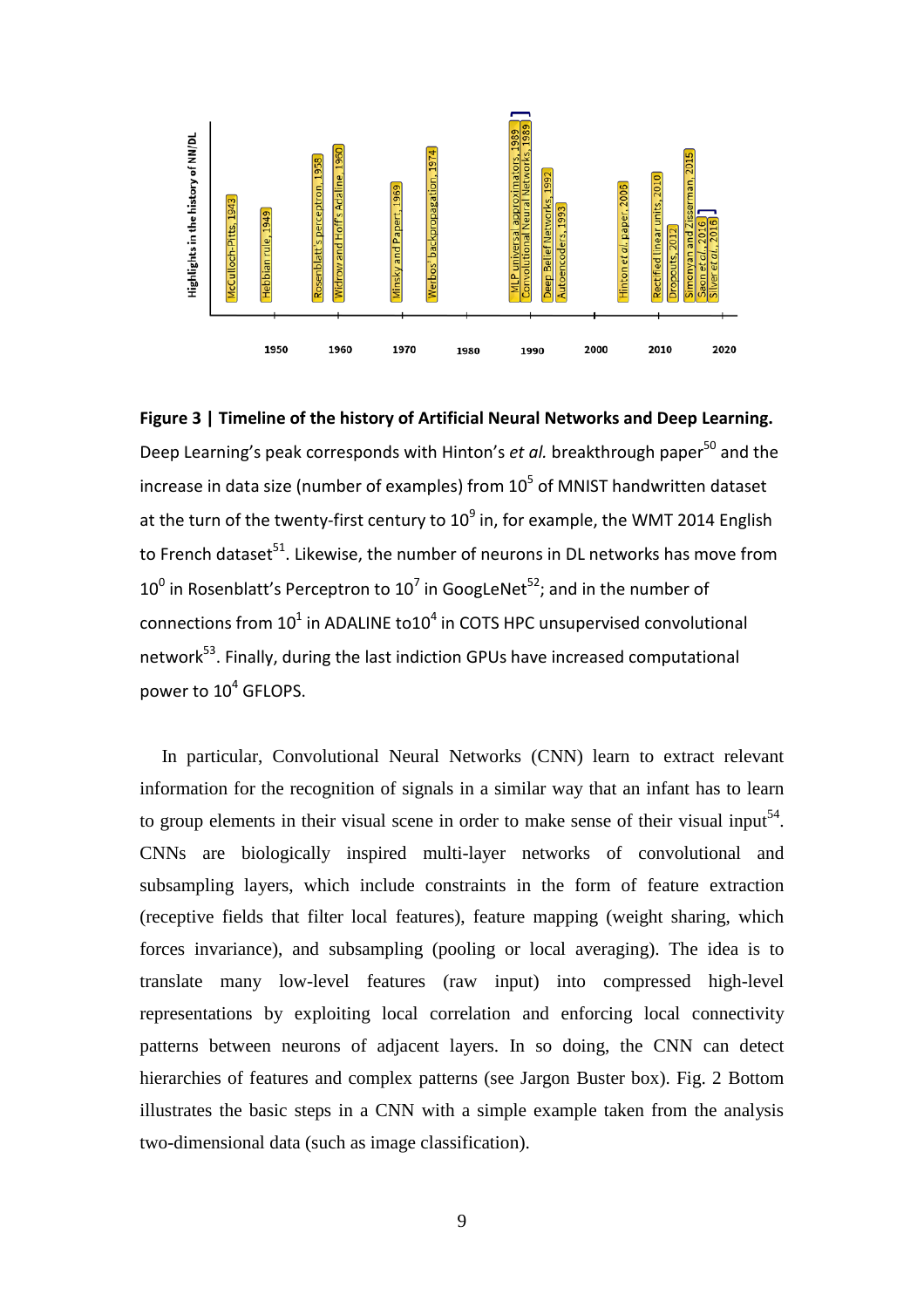

**Figure 3 | Timeline of the history of Artificial Neural Networks and Deep Learning.** Deep Learning's peak corresponds with Hinton's *et al.* breakthrough paper<sup>50</sup> and the increase in data size (number of examples) from  $10^5$  of MNIST handwritten dataset at the turn of the twenty-first century to  $10^9$  in, for example, the WMT 2014 English to French dataset $51$ . Likewise, the number of neurons in DL networks has move from  $10^0$  in Rosenblatt's Perceptron to  $10^7$  in GoogLeNet<sup>52</sup>; and in the number of connections from  $10^1$  in ADALINE to10<sup>4</sup> in COTS HPC unsupervised convolutional network<sup>53</sup>. Finally, during the last indiction GPUs have increased computational power to 10<sup>4</sup> GFLOPS.

In particular, Convolutional Neural Networks (CNN) learn to extract relevant information for the recognition of signals in a similar way that an infant has to learn to group elements in their visual scene in order to make sense of their visual input<sup>54</sup>. CNNs are biologically inspired multi-layer networks of convolutional and subsampling layers, which include constraints in the form of feature extraction (receptive fields that filter local features), feature mapping (weight sharing, which forces invariance), and subsampling (pooling or local averaging). The idea is to translate many low-level features (raw input) into compressed high-level representations by exploiting local correlation and enforcing local connectivity patterns between neurons of adjacent layers. In so doing, the CNN can detect hierarchies of features and complex patterns (see Jargon Buster box). Fig. 2 Bottom illustrates the basic steps in a CNN with a simple example taken from the analysis two-dimensional data (such as image classification).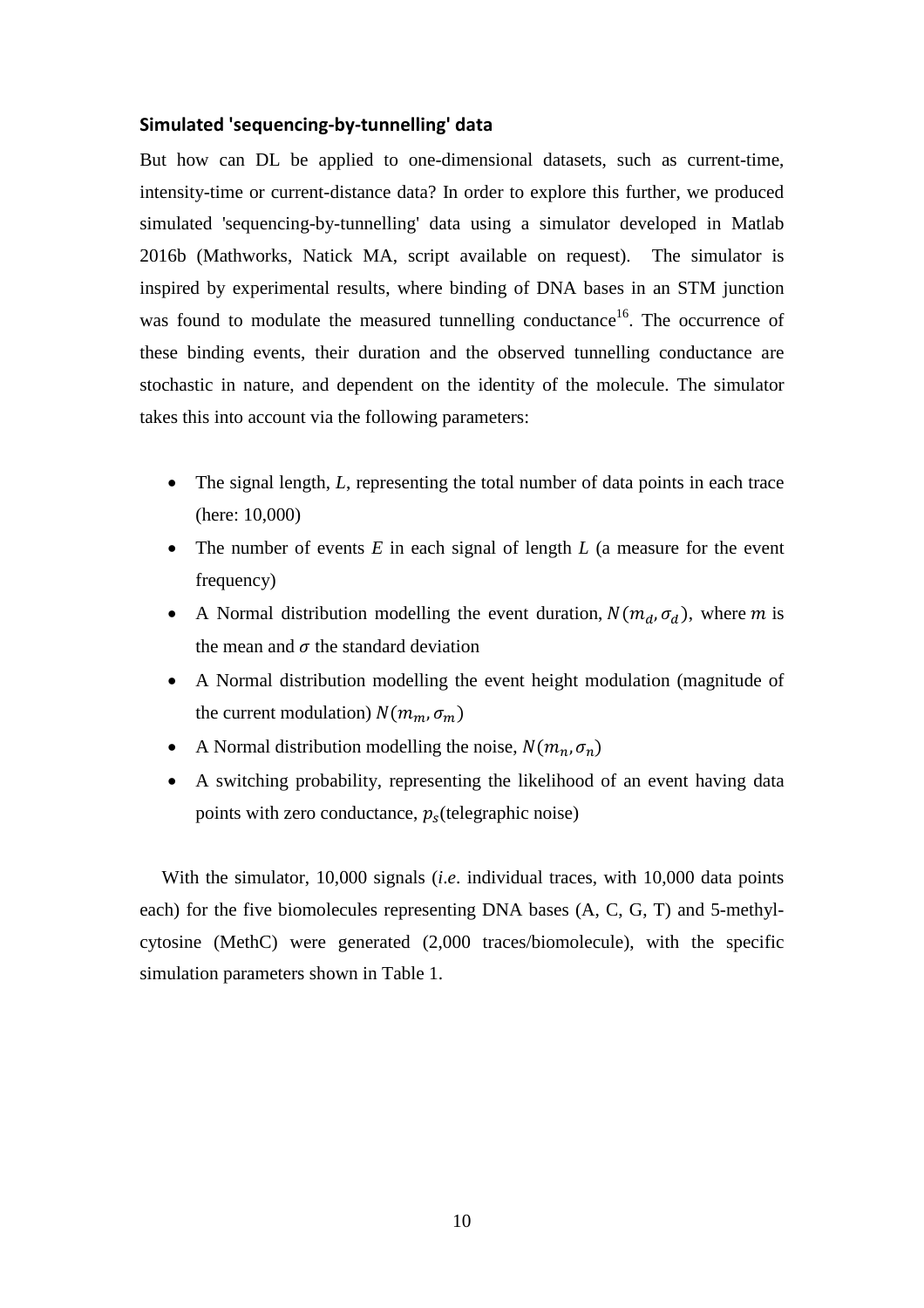#### **Simulated 'sequencing-by-tunnelling' data**

But how can DL be applied to one-dimensional datasets, such as current-time, intensity-time or current-distance data? In order to explore this further, we produced simulated 'sequencing-by-tunnelling' data using a simulator developed in Matlab 2016b (Mathworks, Natick MA, script available on request). The simulator is inspired by experimental results, where binding of DNA bases in an STM junction was found to modulate the measured tunnelling conductance<sup>16</sup>. The occurrence of these binding events, their duration and the observed tunnelling conductance are stochastic in nature, and dependent on the identity of the molecule. The simulator takes this into account via the following parameters:

- The signal length, *L*, representing the total number of data points in each trace (here: 10,000)
- The number of events *E* in each signal of length *L* (a measure for the event frequency)
- A Normal distribution modelling the event duration,  $N(m_d, \sigma_d)$ , where m is the mean and  $\sigma$  the standard deviation
- A Normal distribution modelling the event height modulation (magnitude of the current modulation)  $N(m_m, \sigma_m)$
- A Normal distribution modelling the noise,  $N(m_n, \sigma_n)$
- A switching probability, representing the likelihood of an event having data points with zero conductance,  $p_s$  (telegraphic noise)

With the simulator, 10,000 signals *(i.e.* individual traces, with 10,000 data points each) for the five biomolecules representing DNA bases (A, C, G, T) and 5-methylcytosine (MethC) were generated (2,000 traces/biomolecule), with the specific simulation parameters shown in Table 1.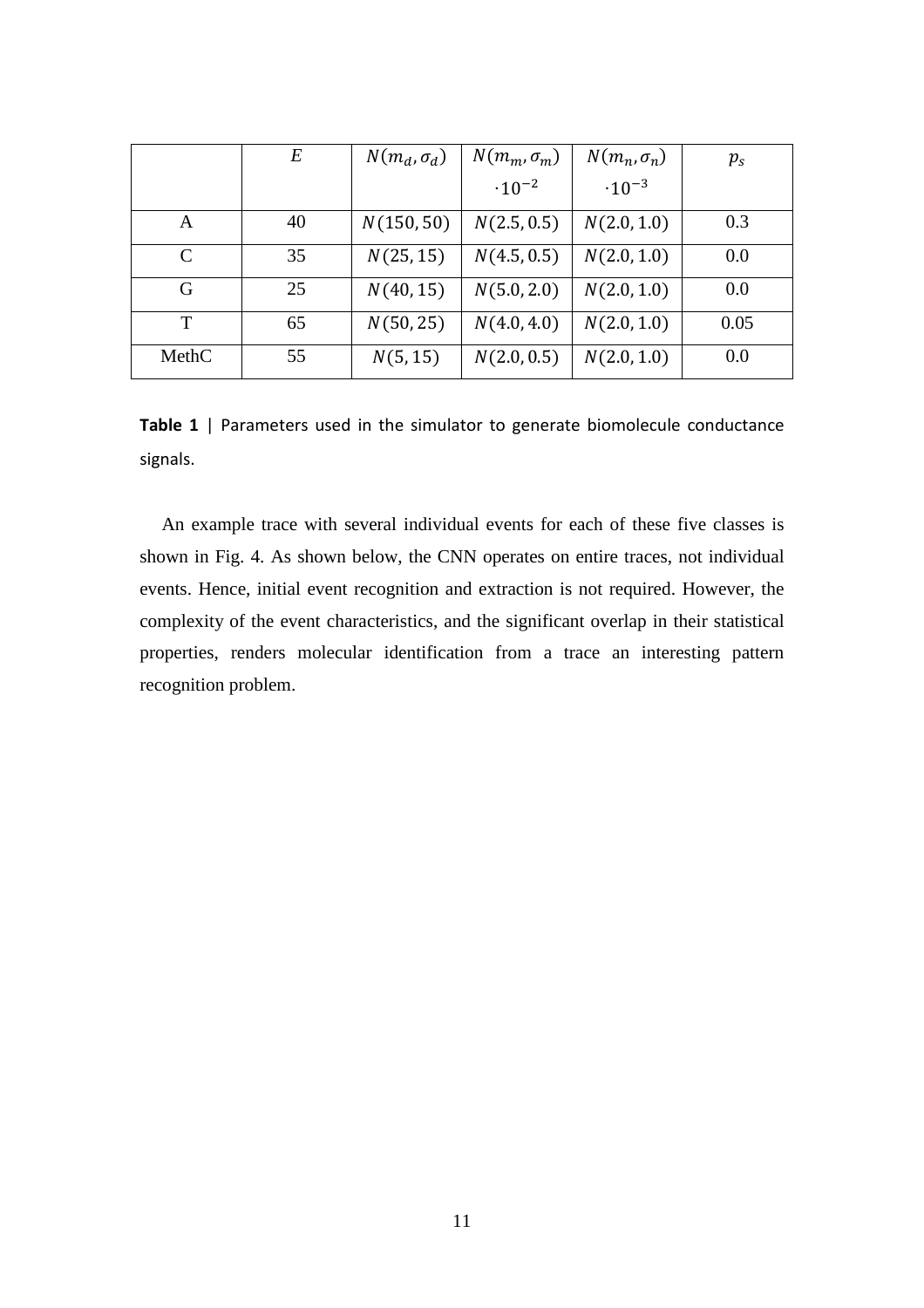|               | E  | $N(m_d, \sigma_d)$ | $N(m_m, \sigma_m)$ | $N(m_n, \sigma_n)$ | $p_{s}$ |
|---------------|----|--------------------|--------------------|--------------------|---------|
|               |    |                    | $\cdot 10^{-2}$    | $\cdot 10^{-3}$    |         |
| A             | 40 | N(150, 50)         | N(2.5, 0.5)        | N(2.0, 1.0)        | 0.3     |
| $\mathcal{C}$ | 35 | N(25, 15)          | N(4.5, 0.5)        | N(2.0, 1.0)        | 0.0     |
| G             | 25 | N(40, 15)          | N(5.0, 2.0)        | N(2.0, 1.0)        | 0.0     |
| T             | 65 | N(50, 25)          | N(4.0, 4.0)        | N(2.0, 1.0)        | 0.05    |
| MethC         | 55 | N(5, 15)           | N(2.0, 0.5)        | N(2.0, 1.0)        | 0.0     |

**Table 1** | Parameters used in the simulator to generate biomolecule conductance signals.

An example trace with several individual events for each of these five classes is shown in Fig. 4. As shown below, the CNN operates on entire traces, not individual events. Hence, initial event recognition and extraction is not required. However, the complexity of the event characteristics, and the significant overlap in their statistical properties, renders molecular identification from a trace an interesting pattern recognition problem.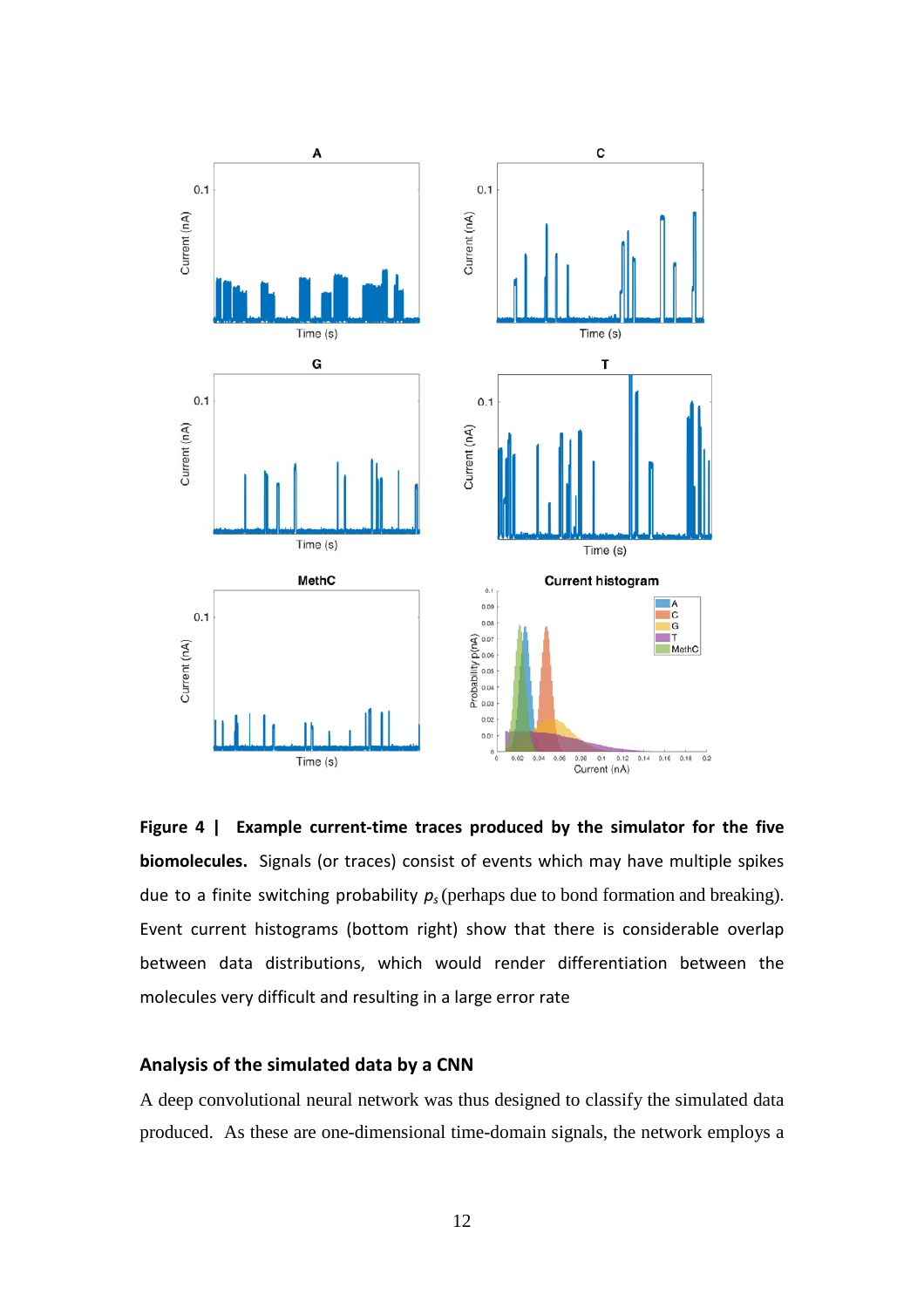



#### **Analysis of the simulated data by a CNN**

A deep convolutional neural network was thus designed to classify the simulated data produced. As these are one-dimensional time-domain signals, the network employs a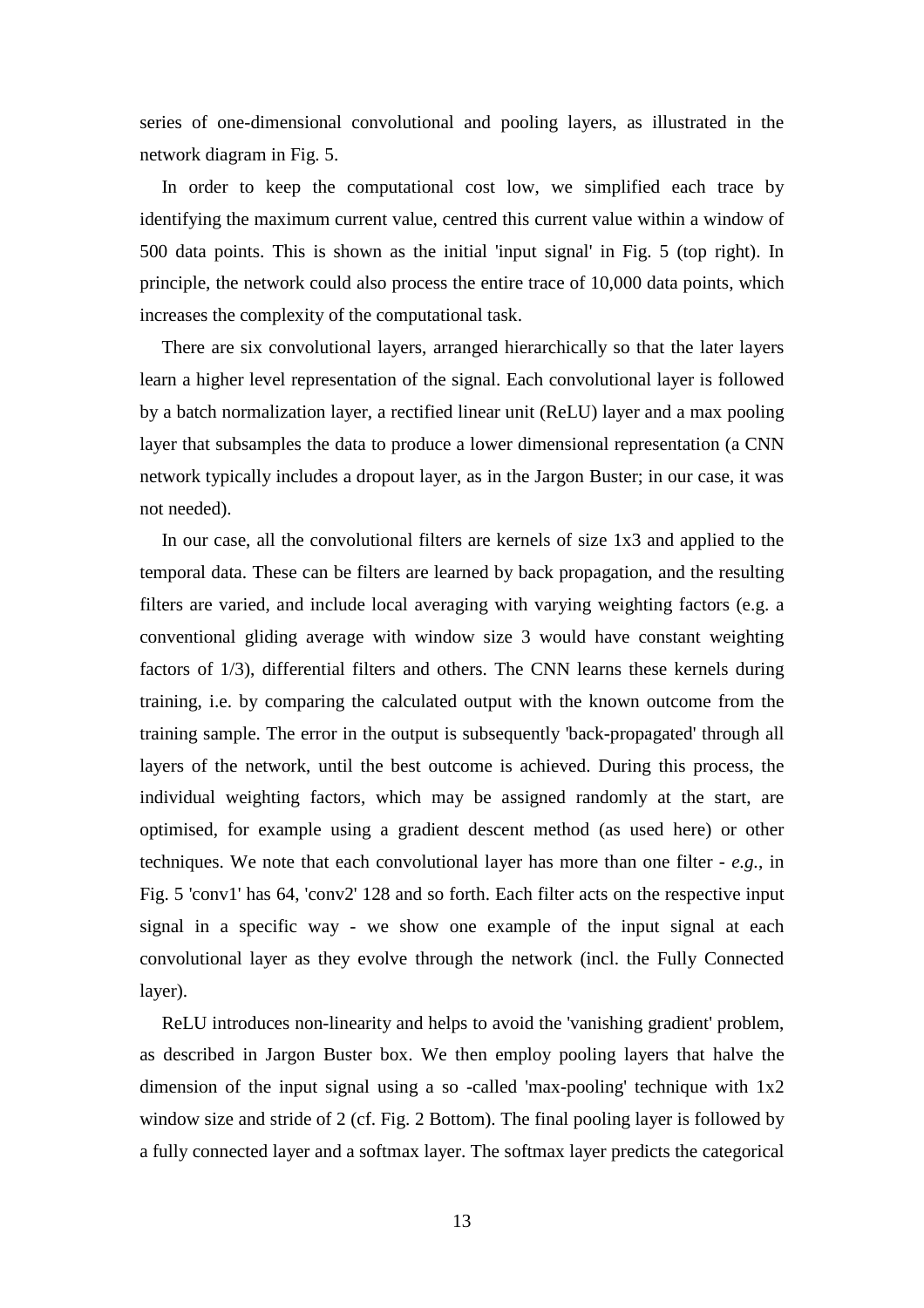series of one-dimensional convolutional and pooling layers, as illustrated in the network diagram in Fig. 5.

In order to keep the computational cost low, we simplified each trace by identifying the maximum current value, centred this current value within a window of 500 data points. This is shown as the initial 'input signal' in Fig. 5 (top right). In principle, the network could also process the entire trace of 10,000 data points, which increases the complexity of the computational task.

There are six convolutional layers, arranged hierarchically so that the later layers learn a higher level representation of the signal. Each convolutional layer is followed by a batch normalization layer, a rectified linear unit (ReLU) layer and a max pooling layer that subsamples the data to produce a lower dimensional representation (a CNN network typically includes a dropout layer, as in the Jargon Buster; in our case, it was not needed).

In our case, all the convolutional filters are kernels of size 1x3 and applied to the temporal data. These can be filters are learned by back propagation, and the resulting filters are varied, and include local averaging with varying weighting factors (e.g. a conventional gliding average with window size 3 would have constant weighting factors of 1/3), differential filters and others. The CNN learns these kernels during training, i.e. by comparing the calculated output with the known outcome from the training sample. The error in the output is subsequently 'back-propagated' through all layers of the network, until the best outcome is achieved. During this process, the individual weighting factors, which may be assigned randomly at the start, are optimised, for example using a gradient descent method (as used here) or other techniques. We note that each convolutional layer has more than one filter - *e.g.*, in Fig. 5 'conv1' has 64, 'conv2' 128 and so forth. Each filter acts on the respective input signal in a specific way - we show one example of the input signal at each convolutional layer as they evolve through the network (incl. the Fully Connected layer).

ReLU introduces non-linearity and helps to avoid the 'vanishing gradient' problem, as described in Jargon Buster box. We then employ pooling layers that halve the dimension of the input signal using a so -called 'max-pooling' technique with 1x2 window size and stride of 2 (cf. Fig. 2 Bottom). The final pooling layer is followed by a fully connected layer and a softmax layer. The softmax layer predicts the categorical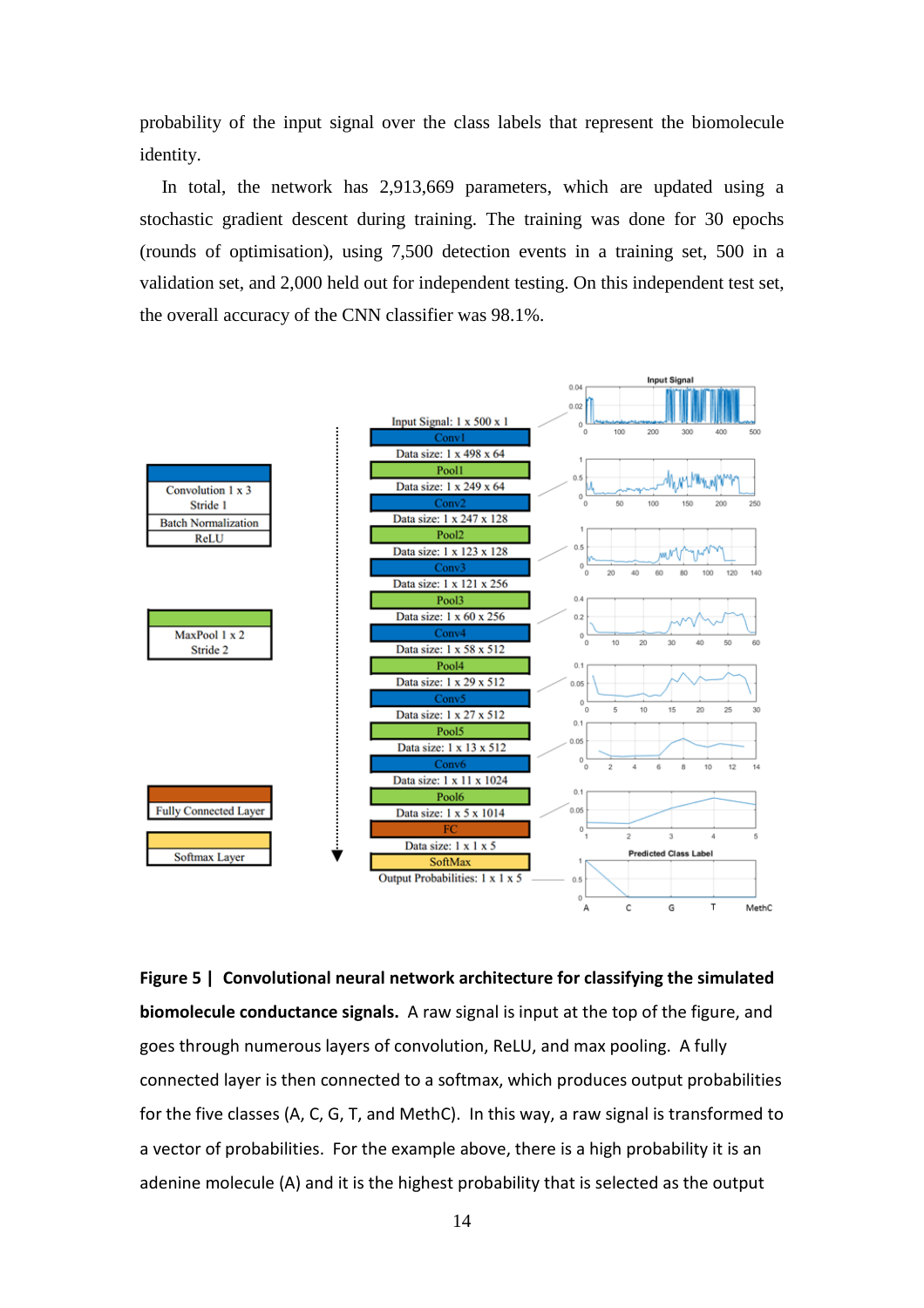probability of the input signal over the class labels that represent the biomolecule identity.

In total, the network has 2,913,669 parameters, which are updated using a stochastic gradient descent during training. The training was done for 30 epochs (rounds of optimisation), using 7,500 detection events in a training set, 500 in a validation set, and 2,000 held out for independent testing. On this independent test set, the overall accuracy of the CNN classifier was 98.1%.



**Figure 5 | Convolutional neural network architecture for classifying the simulated biomolecule conductance signals.** A raw signal is input at the top of the figure, and goes through numerous layers of convolution, ReLU, and max pooling. A fully connected layer is then connected to a softmax, which produces output probabilities for the five classes (A, C, G, T, and MethC). In this way, a raw signal is transformed to a vector of probabilities. For the example above, there is a high probability it is an adenine molecule (A) and it is the highest probability that is selected as the output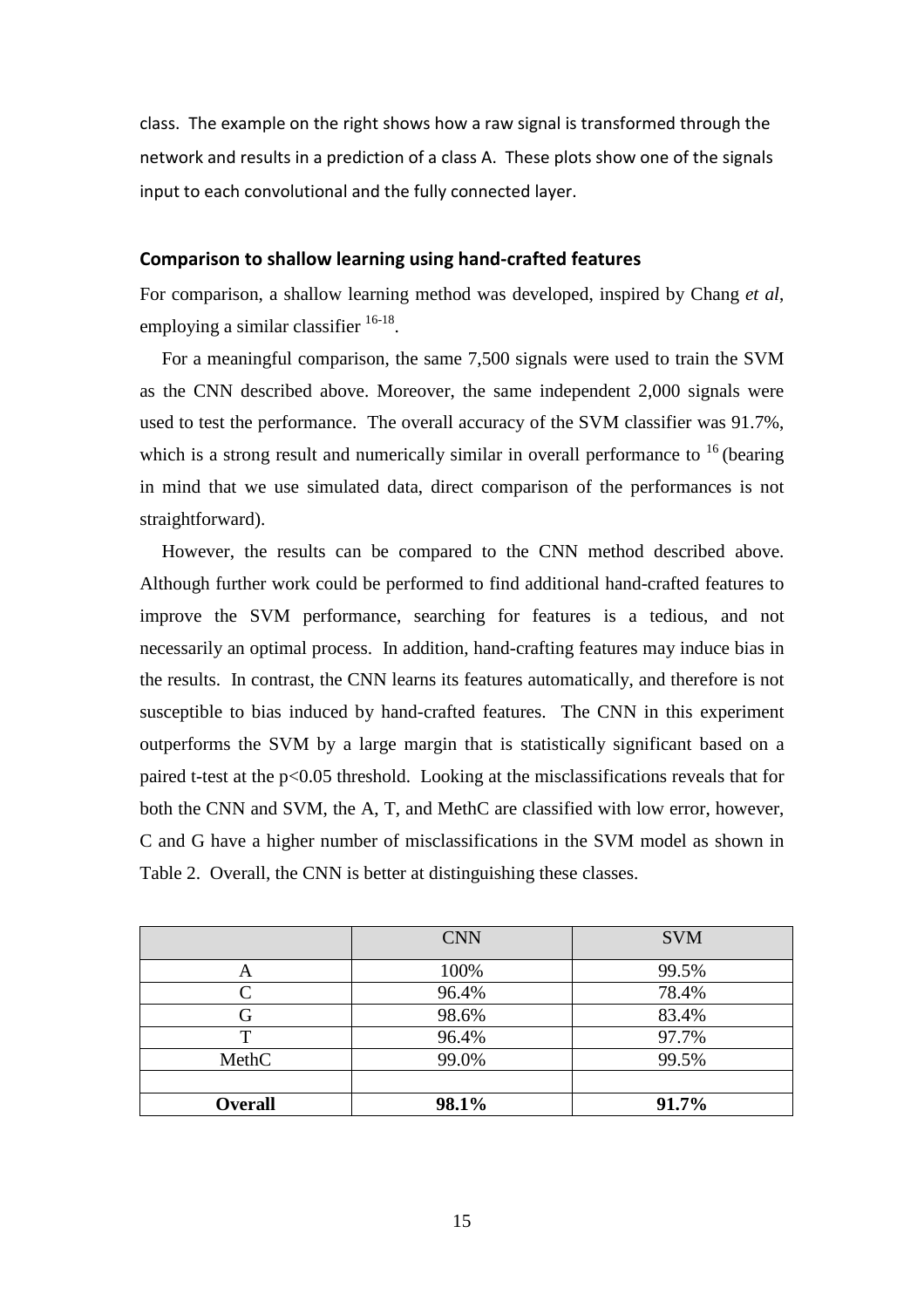class. The example on the right shows how a raw signal is transformed through the network and results in a prediction of a class A. These plots show one of the signals input to each convolutional and the fully connected layer.

#### **Comparison to shallow learning using hand-crafted features**

For comparison, a shallow learning method was developed, inspired by Chang *et al*, employing a similar classifier  $16-18$ .

For a meaningful comparison, the same 7,500 signals were used to train the SVM as the CNN described above. Moreover, the same independent 2,000 signals were used to test the performance. The overall accuracy of the SVM classifier was 91.7%, which is a strong result and numerically similar in overall performance to  $16$  (bearing in mind that we use simulated data, direct comparison of the performances is not straightforward).

However, the results can be compared to the CNN method described above. Although further work could be performed to find additional hand-crafted features to improve the SVM performance, searching for features is a tedious, and not necessarily an optimal process. In addition, hand-crafting features may induce bias in the results. In contrast, the CNN learns its features automatically, and therefore is not susceptible to bias induced by hand-crafted features. The CNN in this experiment outperforms the SVM by a large margin that is statistically significant based on a paired t-test at the p<0.05 threshold. Looking at the misclassifications reveals that for both the CNN and SVM, the A, T, and MethC are classified with low error, however, C and G have a higher number of misclassifications in the SVM model as shown in Table 2. Overall, the CNN is better at distinguishing these classes.

|                   | <b>CNN</b> | <b>SVM</b> |
|-------------------|------------|------------|
| Α                 | 100%       | 99.5%      |
| $\mathbf{\Gamma}$ | 96.4%      | 78.4%      |
| G                 | 98.6%      | 83.4%      |
| т                 | 96.4%      | 97.7%      |
| MethC             | 99.0%      | 99.5%      |
|                   |            |            |
| <b>Overall</b>    | 98.1%      | 91.7%      |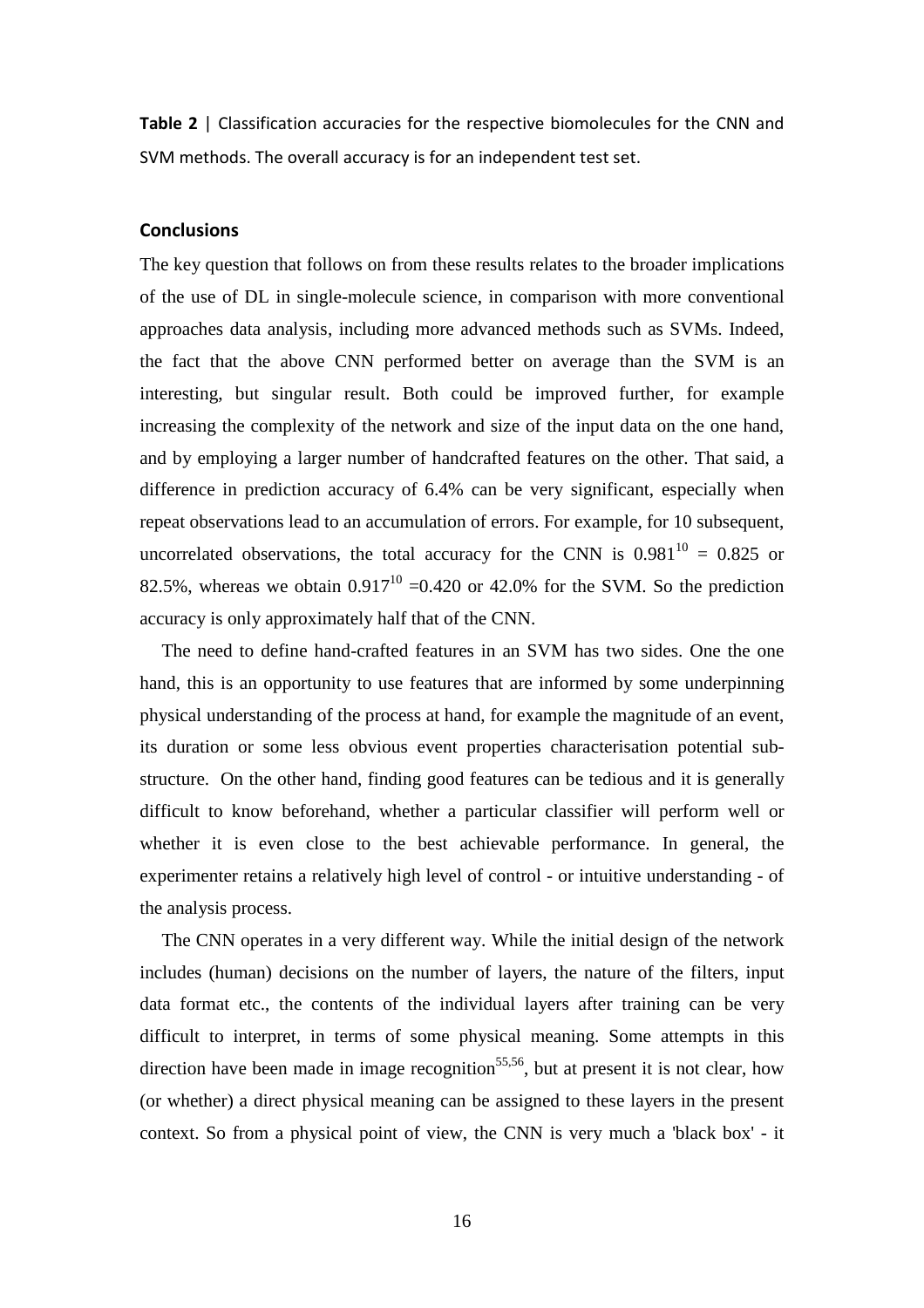**Table 2** | Classification accuracies for the respective biomolecules for the CNN and SVM methods. The overall accuracy is for an independent test set.

#### **Conclusions**

The key question that follows on from these results relates to the broader implications of the use of DL in single-molecule science, in comparison with more conventional approaches data analysis, including more advanced methods such as SVMs. Indeed, the fact that the above CNN performed better on average than the SVM is an interesting, but singular result. Both could be improved further, for example increasing the complexity of the network and size of the input data on the one hand, and by employing a larger number of handcrafted features on the other. That said, a difference in prediction accuracy of 6.4% can be very significant, especially when repeat observations lead to an accumulation of errors. For example, for 10 subsequent, uncorrelated observations, the total accuracy for the CNN is  $0.981^{10} = 0.825$  or 82.5%, whereas we obtain  $0.917^{10}$  =0.420 or 42.0% for the SVM. So the prediction accuracy is only approximately half that of the CNN.

The need to define hand-crafted features in an SVM has two sides. One the one hand, this is an opportunity to use features that are informed by some underpinning physical understanding of the process at hand, for example the magnitude of an event, its duration or some less obvious event properties characterisation potential substructure. On the other hand, finding good features can be tedious and it is generally difficult to know beforehand, whether a particular classifier will perform well or whether it is even close to the best achievable performance. In general, the experimenter retains a relatively high level of control - or intuitive understanding - of the analysis process.

The CNN operates in a very different way. While the initial design of the network includes (human) decisions on the number of layers, the nature of the filters, input data format etc., the contents of the individual layers after training can be very difficult to interpret, in terms of some physical meaning. Some attempts in this direction have been made in image recognition<sup>55,56</sup>, but at present it is not clear, how (or whether) a direct physical meaning can be assigned to these layers in the present context. So from a physical point of view, the CNN is very much a 'black box' - it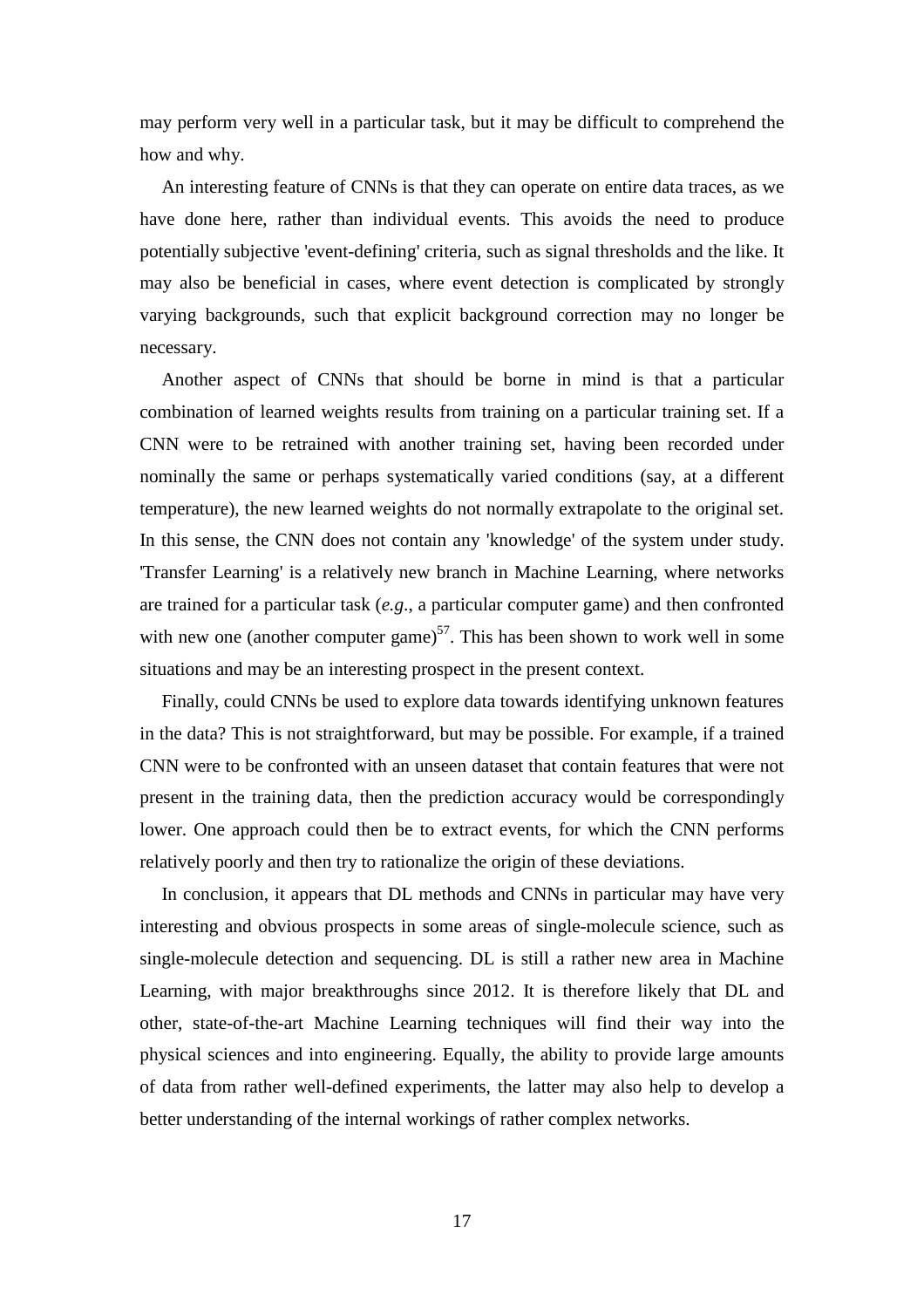may perform very well in a particular task, but it may be difficult to comprehend the how and why.

An interesting feature of CNNs is that they can operate on entire data traces, as we have done here, rather than individual events. This avoids the need to produce potentially subjective 'event-defining' criteria, such as signal thresholds and the like. It may also be beneficial in cases, where event detection is complicated by strongly varying backgrounds, such that explicit background correction may no longer be necessary.

Another aspect of CNNs that should be borne in mind is that a particular combination of learned weights results from training on a particular training set. If a CNN were to be retrained with another training set, having been recorded under nominally the same or perhaps systematically varied conditions (say, at a different temperature), the new learned weights do not normally extrapolate to the original set. In this sense, the CNN does not contain any 'knowledge' of the system under study. 'Transfer Learning' is a relatively new branch in Machine Learning, where networks are trained for a particular task (*e.g*., a particular computer game) and then confronted with new one (another computer game)<sup>57</sup>. This has been shown to work well in some situations and may be an interesting prospect in the present context.

Finally, could CNNs be used to explore data towards identifying unknown features in the data? This is not straightforward, but may be possible. For example, if a trained CNN were to be confronted with an unseen dataset that contain features that were not present in the training data, then the prediction accuracy would be correspondingly lower. One approach could then be to extract events, for which the CNN performs relatively poorly and then try to rationalize the origin of these deviations.

In conclusion, it appears that DL methods and CNNs in particular may have very interesting and obvious prospects in some areas of single-molecule science, such as single-molecule detection and sequencing. DL is still a rather new area in Machine Learning, with major breakthroughs since 2012. It is therefore likely that DL and other, state-of-the-art Machine Learning techniques will find their way into the physical sciences and into engineering. Equally, the ability to provide large amounts of data from rather well-defined experiments, the latter may also help to develop a better understanding of the internal workings of rather complex networks.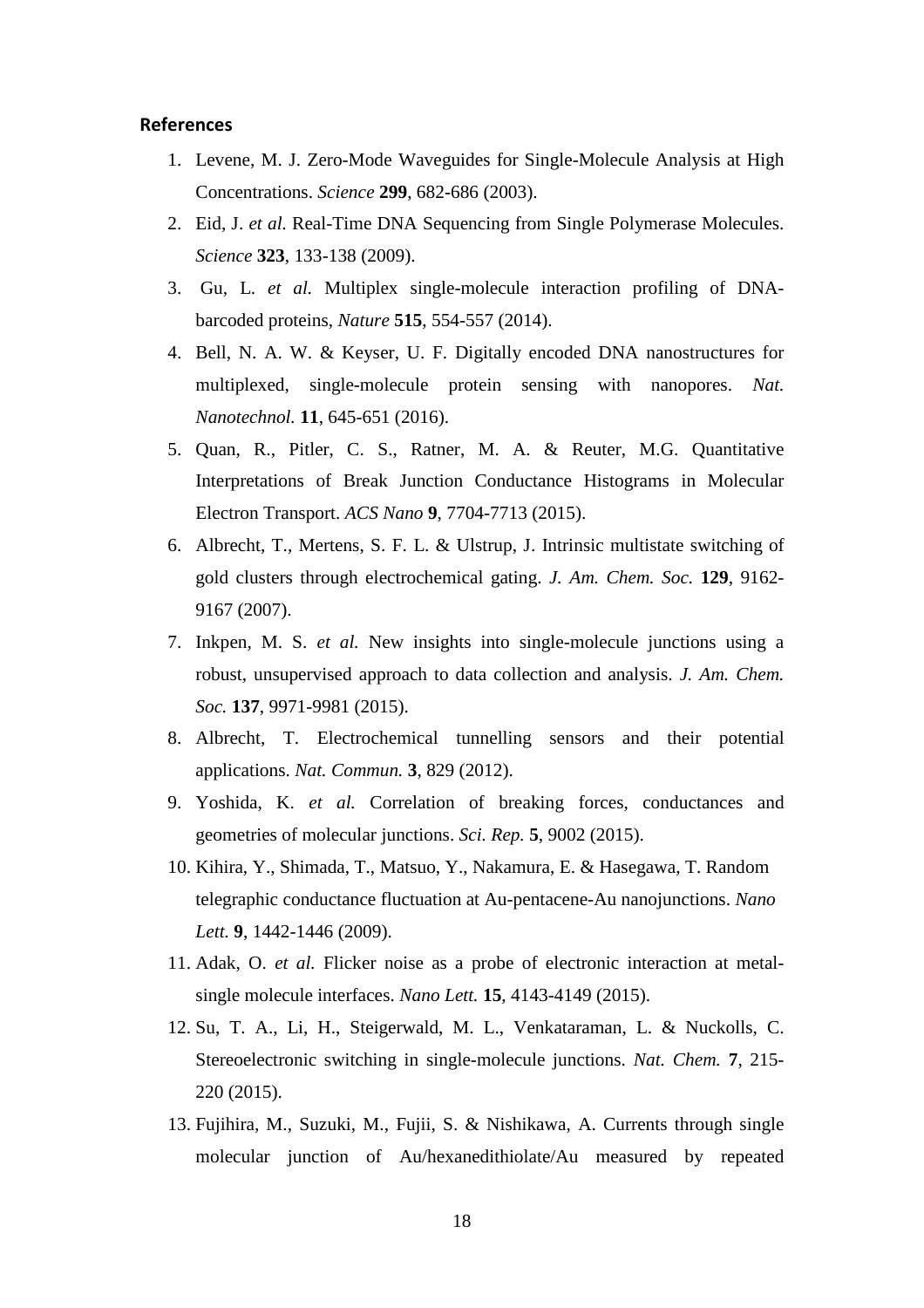#### **References**

- 1. Levene, M. J. Zero-Mode Waveguides for Single-Molecule Analysis at High Concentrations. *Science* **299**, 682-686 (2003).
- 2. Eid, J. *et al.* Real-Time DNA Sequencing from Single Polymerase Molecules. *Science* **323**, 133-138 (2009).
- 3. Gu, L. *et al.* Multiplex single-molecule interaction profiling of DNAbarcoded proteins, *Nature* **515**, 554-557 (2014).
- 4. Bell, N. A. W. & Keyser, U. F. Digitally encoded DNA nanostructures for multiplexed, single-molecule protein sensing with nanopores. *Nat. Nanotechnol.* **11**, 645-651 (2016).
- 5. Quan, R., Pitler, C. S., Ratner, M. A. & Reuter, M.G. Quantitative Interpretations of Break Junction Conductance Histograms in Molecular Electron Transport. *ACS Nano* **9**, 7704-7713 (2015).
- 6. Albrecht, T., Mertens, S. F. L. & Ulstrup, J. Intrinsic multistate switching of gold clusters through electrochemical gating. *J. Am. Chem. Soc.* **129**, 9162- 9167 (2007).
- 7. Inkpen, M. S. *et al.* New insights into single-molecule junctions using a robust, unsupervised approach to data collection and analysis. *J. Am. Chem. Soc.* **137**, 9971-9981 (2015).
- 8. Albrecht, T. Electrochemical tunnelling sensors and their potential applications. *Nat. Commun.* **3**, 829 (2012).
- 9. Yoshida, K. *et al.* Correlation of breaking forces, conductances and geometries of molecular junctions. *Sci. Rep.* **5**, 9002 (2015).
- 10. Kihira, Y., Shimada, T., Matsuo, Y., Nakamura, E. & Hasegawa, T. Random telegraphic conductance fluctuation at Au-pentacene-Au nanojunctions. *Nano Lett.* **9**, 1442-1446 (2009).
- 11. Adak, O. *et al.* Flicker noise as a probe of electronic interaction at metalsingle molecule interfaces. *Nano Lett.* **15**, 4143-4149 (2015).
- 12. Su, T. A., Li, H., Steigerwald, M. L., Venkataraman, L. & Nuckolls, C. Stereoelectronic switching in single-molecule junctions. *Nat. Chem.* **7**, 215- 220 (2015).
- 13. Fujihira, M., Suzuki, M., Fujii, S. & Nishikawa, A. Currents through single molecular junction of Au/hexanedithiolate/Au measured by repeated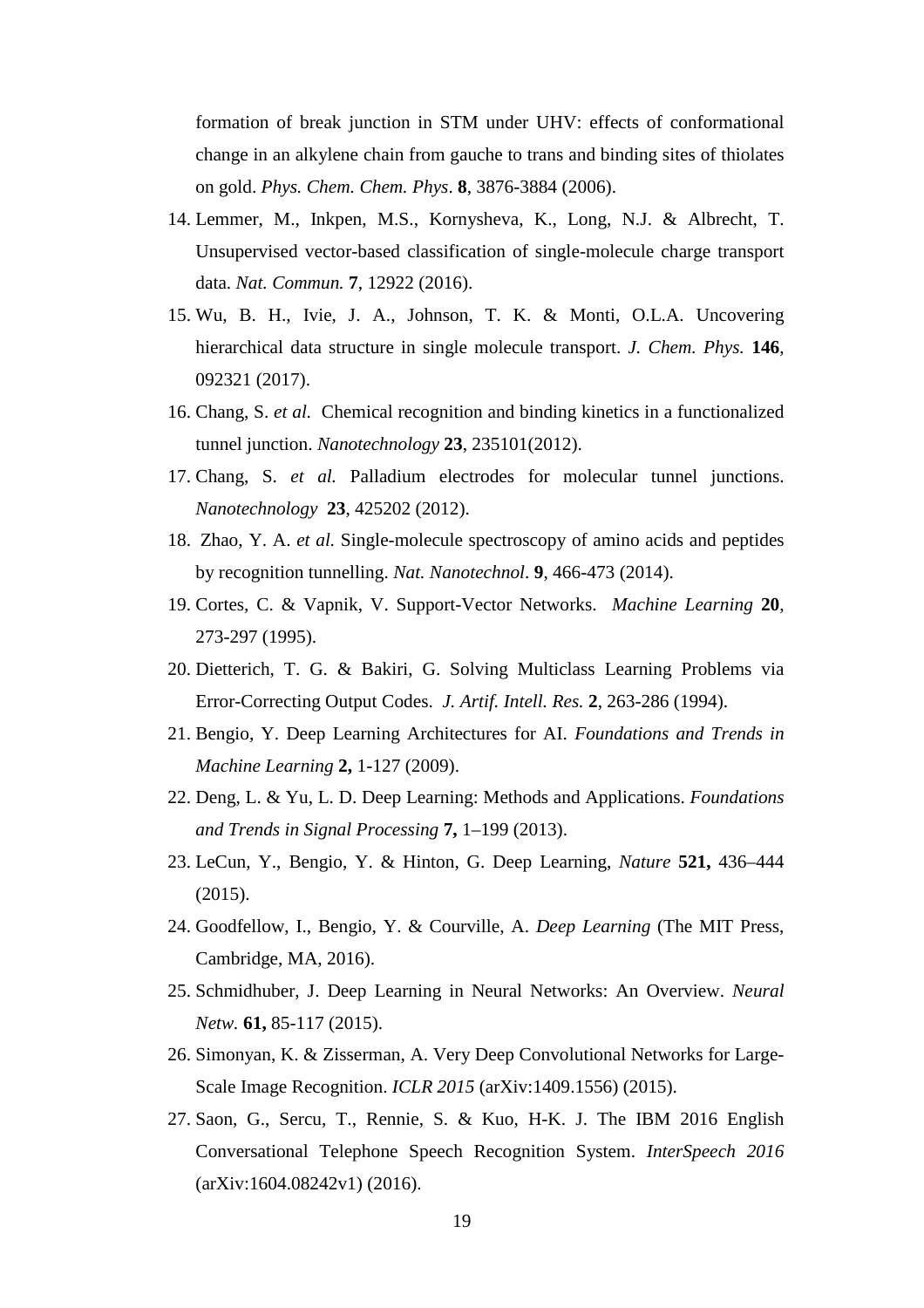formation of break junction in STM under UHV: effects of conformational change in an alkylene chain from gauche to trans and binding sites of thiolates on gold. *Phys. Chem. Chem. Phys*. **8**, 3876-3884 (2006).

- 14. Lemmer, M., Inkpen, M.S., Kornysheva, K., Long, N.J. & Albrecht, T. Unsupervised vector-based classification of single-molecule charge transport data. *Nat. Commun.* **7**, 12922 (2016).
- 15. Wu, B. H., Ivie, J. A., Johnson, T. K. & Monti, O.L.A. Uncovering hierarchical data structure in single molecule transport. *J. Chem. Phys.* **146**, 092321 (2017).
- 16. Chang, S. *et al.* Chemical recognition and binding kinetics in a functionalized tunnel junction. *Nanotechnology* **23**, 235101(2012).
- 17. Chang, S. *et al.* Palladium electrodes for molecular tunnel junctions. *Nanotechnology* **23**, 425202 (2012).
- 18. Zhao, Y. A. *et al.* Single-molecule spectroscopy of amino acids and peptides by recognition tunnelling. *Nat. Nanotechnol*. **9**, 466-473 (2014).
- 19. Cortes, C. & Vapnik, V. Support-Vector Networks. *Machine Learning* **20**, 273-297 (1995).
- 20. Dietterich, T. G. & Bakiri, G. Solving Multiclass Learning Problems via Error-Correcting Output Codes. *J. Artif. Intell. Res.* **2**, 263-286 (1994).
- 21. Bengio, Y. Deep Learning Architectures for AI. *Foundations and Trends in Machine Learning* **2,** 1-127 (2009).
- 22. Deng, L. & Yu, L. D. Deep Learning: Methods and Applications. *Foundations and Trends in Signal Processing* **7,** 1–199 (2013).
- 23. LeCun, Y., Bengio, Y. & Hinton, G. Deep Learning, *Nature* **521,** 436–444 (2015).
- 24. Goodfellow, I., Bengio, Y. & Courville, A. *Deep Learning* (The MIT Press, Cambridge, MA, 2016).
- 25. Schmidhuber, J. Deep Learning in Neural Networks: An Overview. *Neural Netw.* **61,** 85-117 (2015).
- 26. Simonyan, K. & Zisserman, A. Very Deep Convolutional Networks for Large-Scale Image Recognition. *ICLR 2015* (arXiv:1409.1556) (2015).
- 27. Saon, G., Sercu, T., Rennie, S. & Kuo, H-K. J. The IBM 2016 English Conversational Telephone Speech Recognition System. *InterSpeech 2016* (arXiv:1604.08242v1) (2016).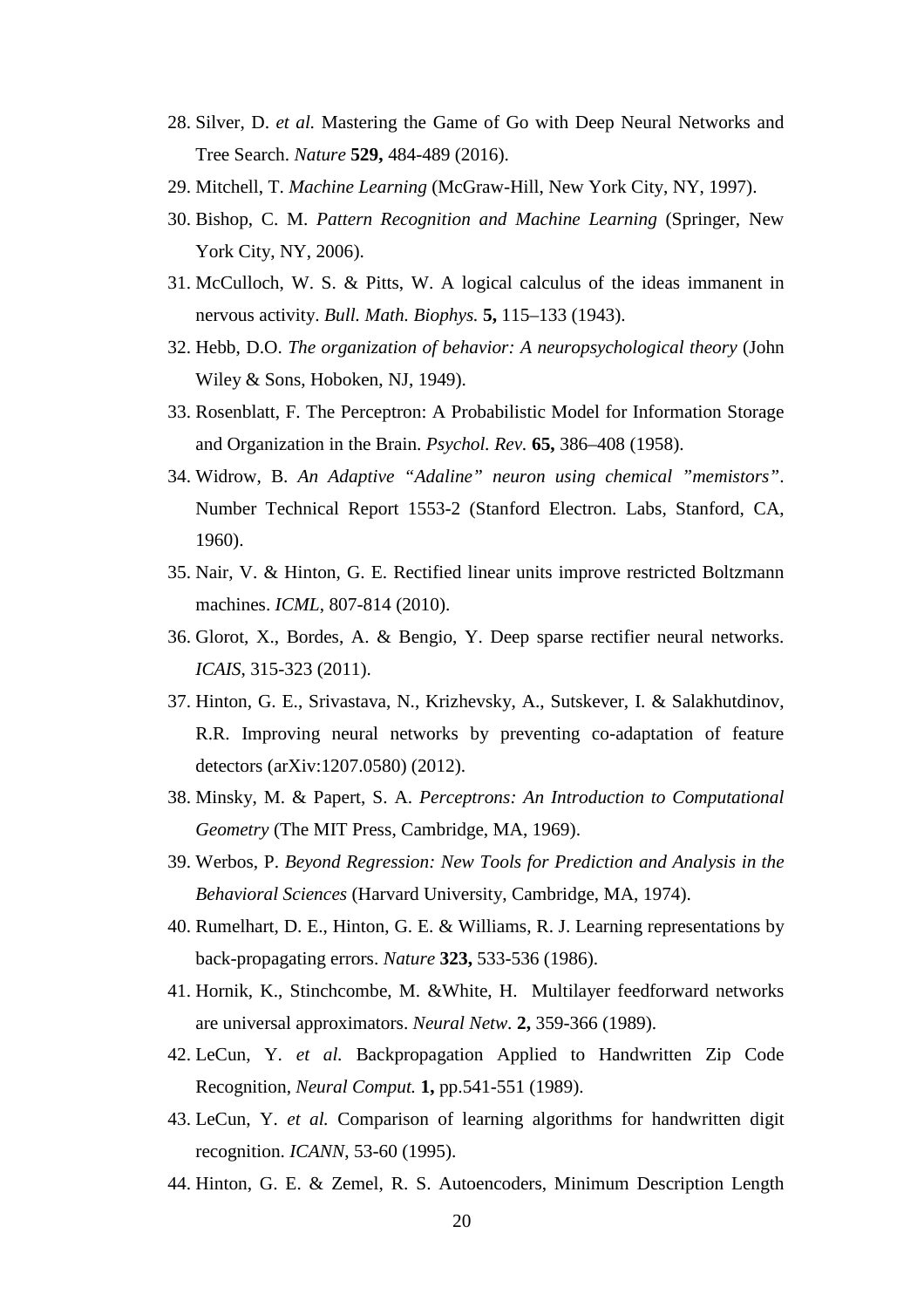- 28. Silver, D. *et al.* Mastering the Game of Go with Deep Neural Networks and Tree Search. *Nature* **529,** 484-489 (2016).
- 29. Mitchell, T. *Machine Learning* (McGraw-Hill, New York City, NY, 1997).
- 30. Bishop, C. M. *Pattern Recognition and Machine Learning* (Springer, New York City, NY, 2006).
- 31. McCulloch, W. S. & Pitts, W. A logical calculus of the ideas immanent in nervous activity. *Bull. Math. Biophys.* **5,** 115–133 (1943).
- 32. Hebb, D.O. *The organization of behavior: A neuropsychological theory* (John Wiley & Sons, Hoboken, NJ, 1949).
- 33. Rosenblatt, F. The Perceptron: A Probabilistic Model for Information Storage and Organization in the Brain. *Psychol. Rev.* **65,** 386–408 (1958).
- 34. Widrow, B. *An Adaptive "Adaline" neuron using chemical "memistors"*. Number Technical Report 1553-2 (Stanford Electron. Labs, Stanford, CA, 1960).
- 35. Nair, V. & Hinton, G. E. Rectified linear units improve restricted Boltzmann machines. *ICML*, 807-814 (2010).
- 36. Glorot, X., Bordes, A. & Bengio, Y. Deep sparse rectifier neural networks. *ICAIS*, 315-323 (2011).
- 37. Hinton, G. E., Srivastava, N., Krizhevsky, A., Sutskever, I. & Salakhutdinov, R.R. Improving neural networks by preventing co-adaptation of feature detectors (arXiv:1207.0580) (2012).
- 38. Minsky, M. & Papert, S. A. *Perceptrons: An Introduction to Computational Geometry* (The MIT Press, Cambridge, MA, 1969).
- 39. Werbos, P. *Beyond Regression: New Tools for Prediction and Analysis in the Behavioral Sciences* (Harvard University, Cambridge, MA, 1974).
- 40. Rumelhart, D. E., Hinton, G. E. & Williams, R. J. Learning representations by back-propagating errors. *Nature* **323,** 533-536 (1986).
- 41. Hornik, K., Stinchcombe, M. &White, H. Multilayer feedforward networks are universal approximators. *Neural Netw.* **2,** 359-366 (1989).
- 42. LeCun, Y. *et al.* Backpropagation Applied to Handwritten Zip Code Recognition, *Neural Comput.* **1,** pp.541-551 (1989).
- 43. LeCun, Y. *et al.* Comparison of learning algorithms for handwritten digit recognition. *ICANN*, 53-60 (1995).
- 44. Hinton, G. E. & Zemel, R. S. Autoencoders, Minimum Description Length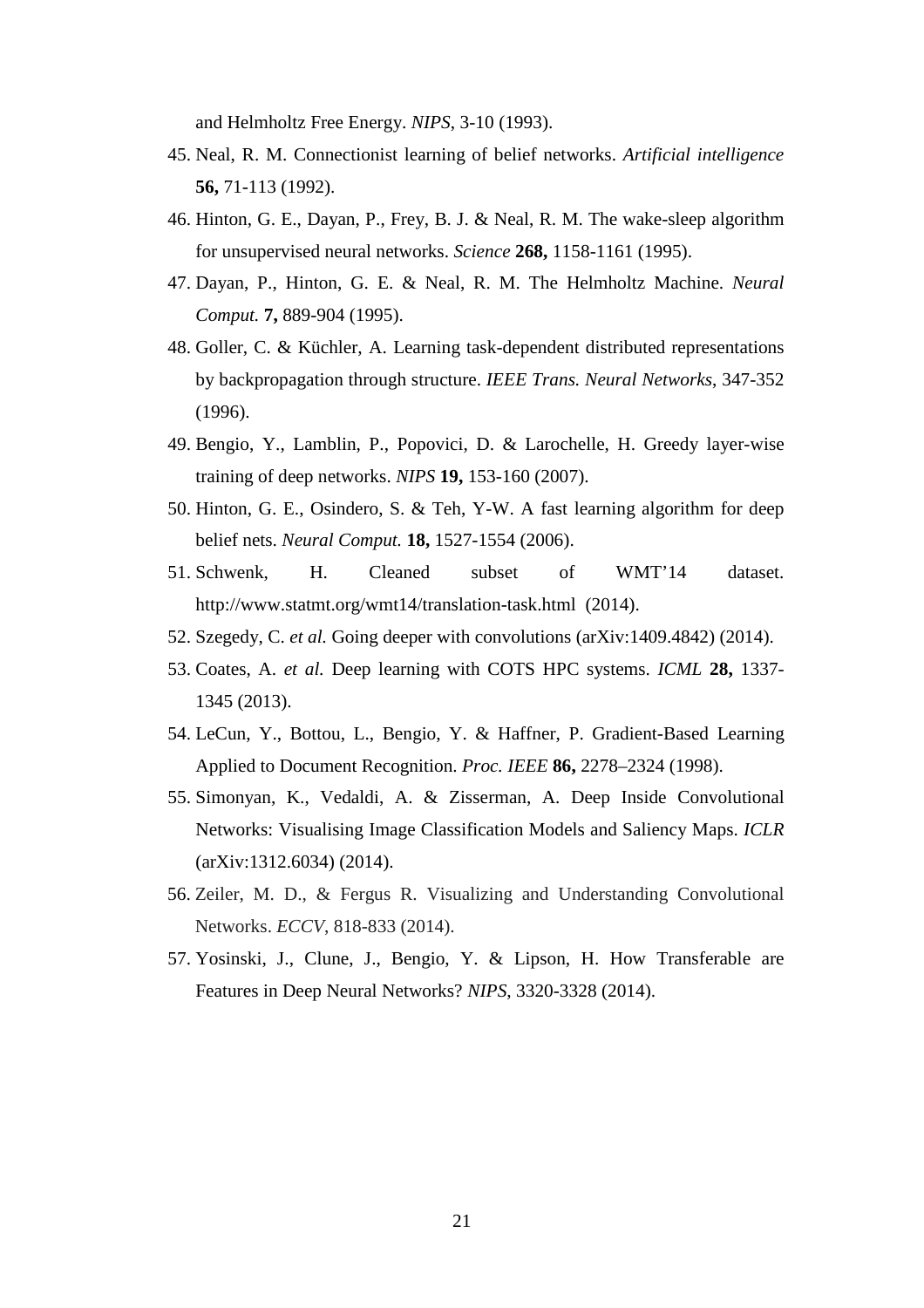and Helmholtz Free Energy. *NIPS*, 3-10 (1993).

- 45. Neal, R. M. Connectionist learning of belief networks. *Artificial intelligence* **56,** 71-113 (1992).
- 46. Hinton, G. E., Dayan, P., Frey, B. J. & Neal, R. M. The wake-sleep algorithm for unsupervised neural networks. *Science* **268,** 1158-1161 (1995).
- 47. Dayan, P., Hinton, G. E. & Neal, R. M. The Helmholtz Machine. *Neural Comput.* **7,** 889-904 (1995).
- 48. Goller, C. & Küchler, A. Learning task-dependent distributed representations by backpropagation through structure. *IEEE Trans. Neural Networks*, 347-352 (1996).
- 49. Bengio, Y., Lamblin, P., Popovici, D. & Larochelle, H. Greedy layer-wise training of deep networks. *NIPS* **19,** 153-160 (2007).
- 50. Hinton, G. E., Osindero, S. & Teh, Y-W. A fast learning algorithm for deep belief nets. *Neural Comput.* **18,** 1527-1554 (2006).
- 51. Schwenk, H. Cleaned subset of WMT'14 dataset. http://www.statmt.org/wmt14/translation-task.html (2014).
- 52. Szegedy, C. *et al.* Going deeper with convolutions (arXiv:1409.4842) (2014).
- 53. Coates, A. *et al.* Deep learning with COTS HPC systems. *ICML* **28,** 1337- 1345 (2013).
- 54. LeCun, Y., Bottou, L., Bengio, Y. & Haffner, P. Gradient-Based Learning Applied to Document Recognition. *Proc. IEEE* **86,** 2278–2324 (1998).
- 55. Simonyan, K., Vedaldi, A. & Zisserman, A. Deep Inside Convolutional Networks: Visualising Image Classification Models and Saliency Maps. *ICLR* (arXiv:1312.6034) (2014).
- 56. Zeiler, M. D., & Fergus R. Visualizing and Understanding Convolutional Networks. *ECCV*, 818-833 (2014).
- 57. Yosinski, J., Clune, J., Bengio, Y. & Lipson, H. How Transferable are Features in Deep Neural Networks? *NIPS*, 3320-3328 (2014).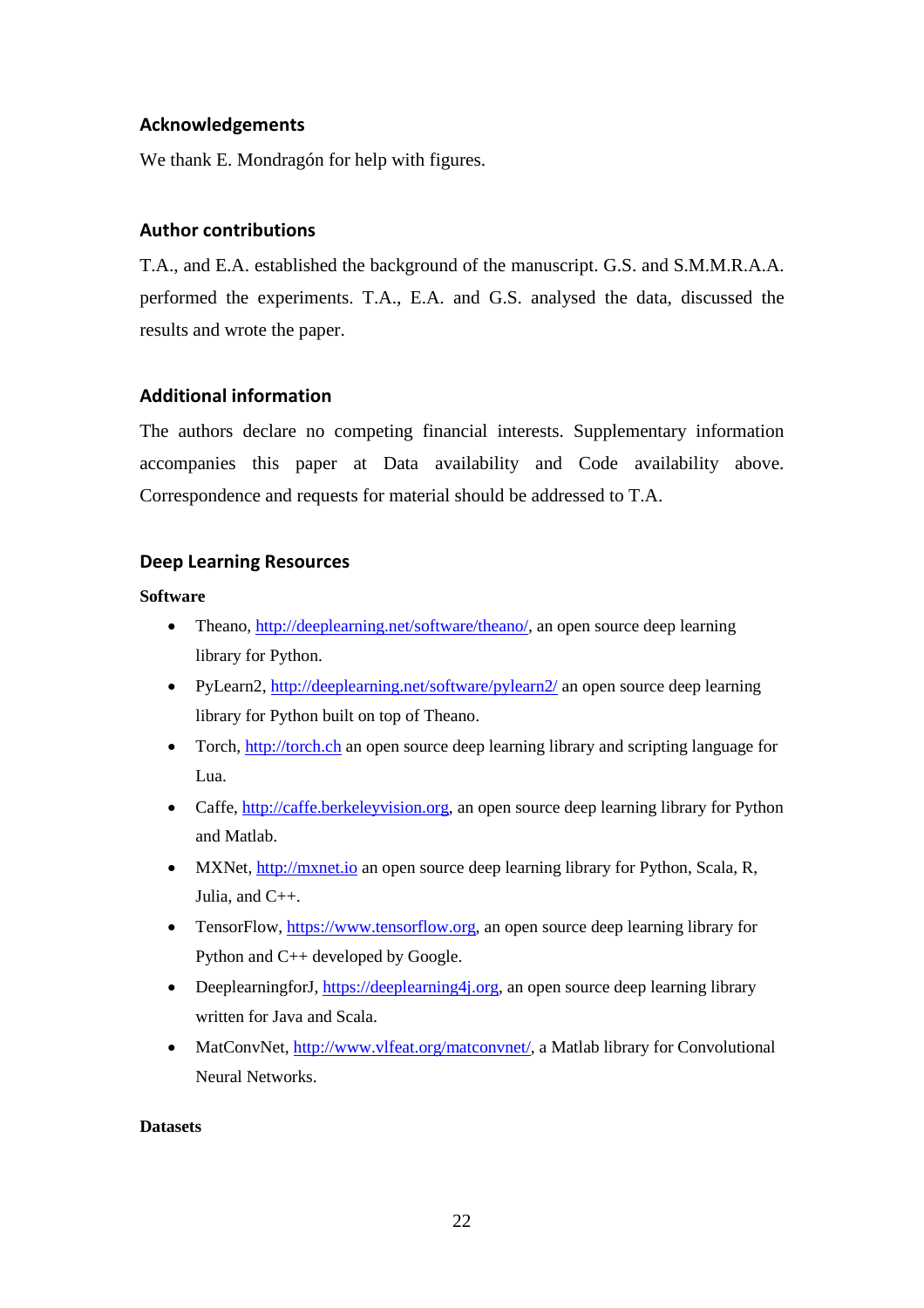#### **Acknowledgements**

We thank E. Mondragón for help with figures.

#### **Author contributions**

T.A., and E.A. established the background of the manuscript. G.S. and S.M.M.R.A.A. performed the experiments. T.A., E.A. and G.S. analysed the data, discussed the results and wrote the paper.

#### **Additional information**

The authors declare no competing financial interests. Supplementary information accompanies this paper at Data availability and Code availability above. Correspondence and requests for material should be addressed to T.A.

#### **Deep Learning Resources**

#### **Software**

- Theano, [http://deeplearning.net/software/theano/,](http://deeplearning.net/software/theano/) an open source deep learning library for Python.
- PyLearn2,<http://deeplearning.net/software/pylearn2/> an open source deep learning library for Python built on top of Theano.
- Torch, [http://torch.ch](http://torch.ch/) an open source deep learning library and scripting language for Lua.
- Caffe, [http://caffe.berkeleyvision.org,](http://caffe.berkeleyvision.org/) an open source deep learning library for Python and Matlab.
- MXNet, [http://mxnet.io](http://mxnet.io/) an open source deep learning library for Python, Scala, R, Julia, and C++.
- TensorFlow[, https://www.tensorflow.org,](https://www.tensorflow.org/) an open source deep learning library for Python and C++ developed by Google.
- DeeplearningforJ, [https://deeplearning4j.org,](https://deeplearning4j.org/) an open source deep learning library written for Java and Scala.
- MatConvNet, [http://www.vlfeat.org/matconvnet/,](http://www.vlfeat.org/matconvnet/) a Matlab library for Convolutional Neural Networks.

#### **Datasets**